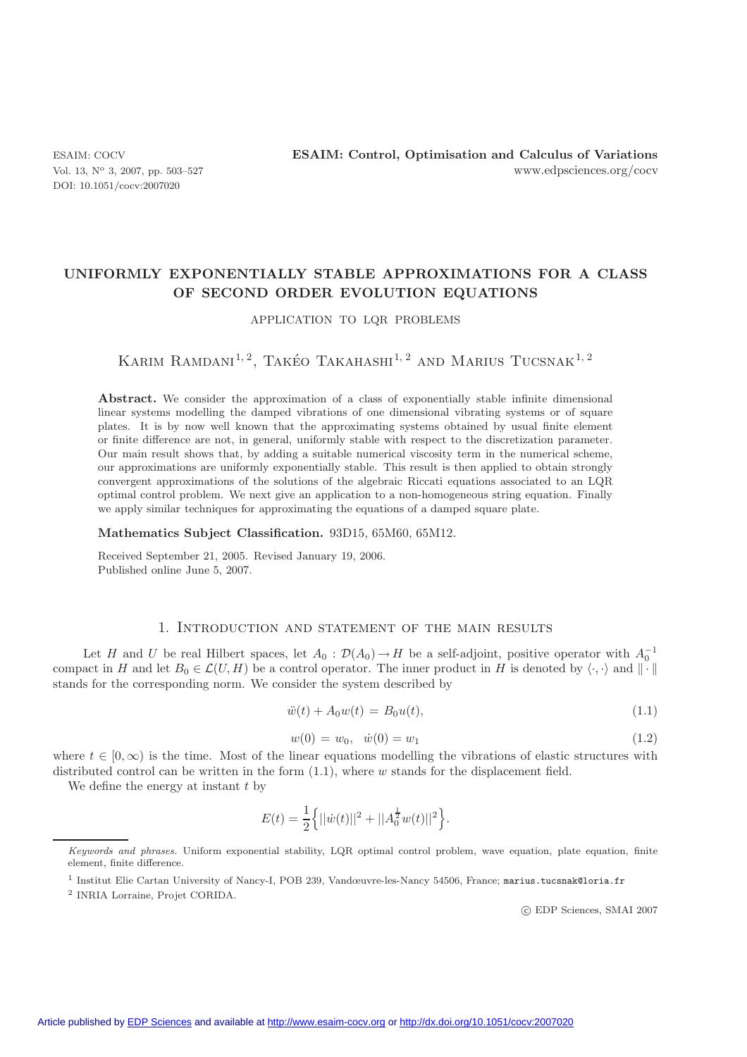DOI: 10.1051/cocv:2007020

# **UNIFORMLY EXPONENTIALLY STABLE APPROXIMATIONS FOR A CLASS OF SECOND ORDER EVOLUTION EQUATIONS**

APPLICATION TO LQR PROBLEMS

# KARIM RAMDANI<sup>1,2</sup>, TAKÉO TAKAHASHI<sup>1,2</sup> AND MARIUS TUCSNAK<sup>1,2</sup>

Abstract. We consider the approximation of a class of exponentially stable infinite dimensional linear systems modelling the damped vibrations of one dimensional vibrating systems or of square plates. It is by now well known that the approximating systems obtained by usual finite element or finite difference are not, in general, uniformly stable with respect to the discretization parameter. Our main result shows that, by adding a suitable numerical viscosity term in the numerical scheme, our approximations are uniformly exponentially stable. This result is then applied to obtain strongly convergent approximations of the solutions of the algebraic Riccati equations associated to an LQR optimal control problem. We next give an application to a non-homogeneous string equation. Finally we apply similar techniques for approximating the equations of a damped square plate.

### **Mathematics Subject Classification.** 93D15, 65M60, 65M12.

Received September 21, 2005. Revised January 19, 2006. Published online June 5, 2007.

# 1. Introduction and statement of the main results

Let H and U be real Hilbert spaces, let  $A_0: \mathcal{D}(A_0) \to H$  be a self-adjoint, positive operator with  $A_0^{-1}$ <br>act in H and let  $B_0 \in \mathcal{L}(U, H)$  be a control operator. The inner product in H is denoted by  $\langle \cdot, \cdot \rangle$  and compact in H and let  $B_0 \in \mathcal{L}(U, H)$  be a control operator. The inner product in H is denoted by  $\langle \cdot, \cdot \rangle$  and  $\|\cdot\|$ stands for the corresponding norm. We consider the system described by

$$
\ddot{w}(t) + A_0 w(t) = B_0 u(t), \tag{1.1}
$$

$$
w(0) = w_0, \quad \dot{w}(0) = w_1 \tag{1.2}
$$

where  $t \in [0, \infty)$  is the time. Most of the linear equations modelling the vibrations of elastic structures with distributed control can be written in the form (1.1), where w stands for the displacement field distributed control can be written in the form  $(1.1)$ , where w stands for the displacement field.

We define the energy at instant  $t$  by

$$
E(t) = \frac{1}{2} \left\{ ||\dot{w}(t)||^2 + ||A_0^{\frac{1}{2}} w(t)||^2 \right\}
$$

c EDP Sciences, SMAI 2007

Keywords and phrases. Uniform exponential stability, LQR optimal control problem, wave equation, plate equation, finite element, finite difference.

<sup>1</sup> Institut Elie Cartan University of Nancy-I, POB 239, Vandœuvre-les-Nancy 54506, France; marius.tucsnak@loria.fr

<sup>2</sup> INRIA Lorraine, Projet CORIDA.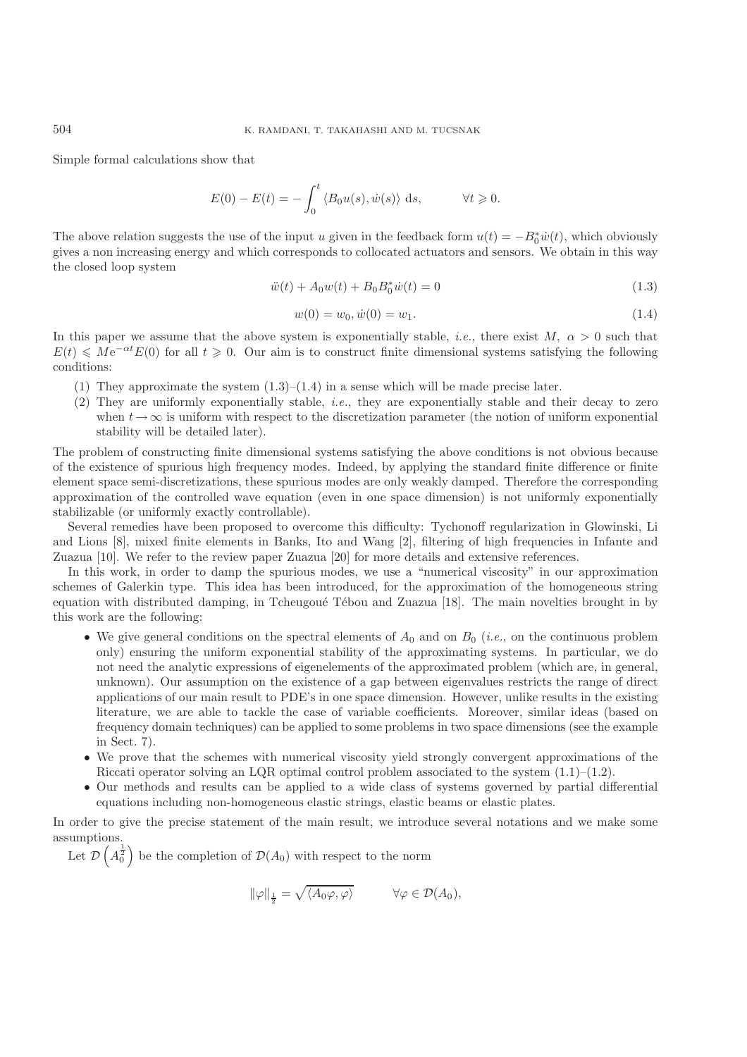Simple formal calculations show that

$$
E(0) - E(t) = -\int_0^t \langle B_0 u(s), \dot{w}(s) \rangle ds, \qquad \forall t \geq 0.
$$

The above relation suggests the use of the input u given in the feedback form  $u(t) = -B_0^* \dot{w}(t)$ , which obviously gives a non-increasing energy and which corresponds to collocated actuators and sensors. We obtain in this gives a non increasing energy and which corresponds to collocated actuators and sensors. We obtain in this way the closed loop system

$$
\ddot{w}(t) + A_0 w(t) + B_0 B_0^* \dot{w}(t) = 0 \tag{1.3}
$$

$$
w(0) = w_0, \dot{w}(0) = w_1.
$$
\n(1.4)

In this paper we assume that the above system is exponentially stable, *i.e.*, there exist M,  $\alpha > 0$  such that  $E(t) \leq Me^{-\alpha t}E(0)$  for all  $t \geq 0$ . Our aim is to construct finite dimensional systems satisfying the following conditions: conditions:

- (1) They approximate the system  $(1.3)$ – $(1.4)$  in a sense which will be made precise later.
- (2) They are uniformly exponentially stable, *i.e.*, they are exponentially stable and their decay to zero when  $t \to \infty$  is uniform with respect to the discretization parameter (the notion of uniform exponential stability will be detailed later).

The problem of constructing finite dimensional systems satisfying the above conditions is not obvious because of the existence of spurious high frequency modes. Indeed, by applying the standard finite difference or finite element space semi-discretizations, these spurious modes are only weakly damped. Therefore the corresponding approximation of the controlled wave equation (even in one space dimension) is not uniformly exponentially stabilizable (or uniformly exactly controllable).

Several remedies have been proposed to overcome this difficulty: Tychonoff regularization in Glowinski, Li and Lions [8], mixed finite elements in Banks, Ito and Wang [2], filtering of high frequencies in Infante and Zuazua [10]. We refer to the review paper Zuazua [20] for more details and extensive references.

In this work, in order to damp the spurious modes, we use a "numerical viscosity" in our approximation schemes of Galerkin type. This idea has been introduced, for the approximation of the homogeneous string equation with distributed damping, in Tcheugoué Tébou and Zuazua [18]. The main novelties brought in by this work are the following:

- We give general conditions on the spectral elements of  $A_0$  and on  $B_0$  (*i.e.*, on the continuous problem only) ensuring the uniform exponential stability of the approximating systems. In particular, we do not need the analytic expressions of eigenelements of the approximated problem (which are, in general, unknown). Our assumption on the existence of a gap between eigenvalues restricts the range of direct applications of our main result to PDE's in one space dimension. However, unlike results in the existing literature, we are able to tackle the case of variable coefficients. Moreover, similar ideas (based on frequency domain techniques) can be applied to some problems in two space dimensions (see the example in Sect. 7).
- We prove that the schemes with numerical viscosity yield strongly convergent approximations of the Riccati operator solving an LQR optimal control problem associated to the system  $(1.1)$ – $(1.2)$ .
- Our methods and results can be applied to a wide class of systems governed by partial differential equations including non-homogeneous elastic strings, elastic beams or elastic plates.

In order to give the precise statement of the main result, we introduce several notations and we make some assumptions.

Let  $\mathcal{D}\left(A_0^{\frac{1}{2}}\right)$  be the completion of  $\mathcal{D}(A_0)$  with respect to the norm

$$
\|\varphi\|_{\frac{1}{2}} = \sqrt{\langle A_0 \varphi, \varphi \rangle} \qquad \forall \varphi \in \mathcal{D}(A_0),
$$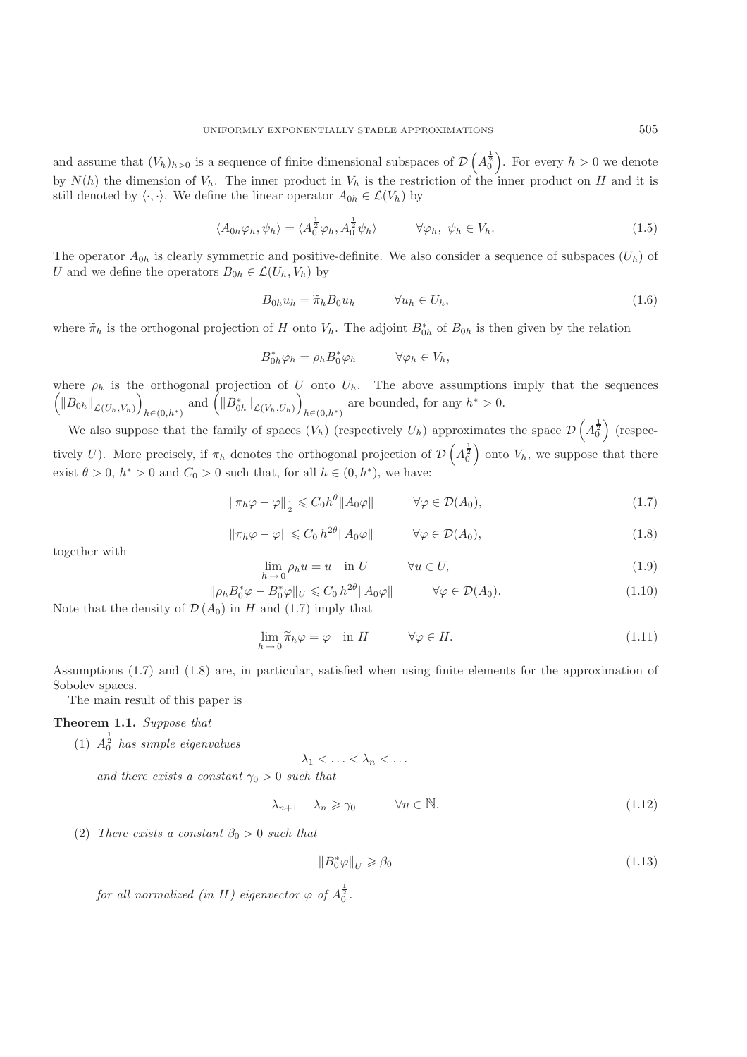and assume that  $(V_h)_{h>0}$  is a sequence of finite dimensional subspaces of  $\mathcal{D}\left(A_0^{\frac{1}{2}}\right)$ . For every  $h>0$  we denote by  $N(h)$  the dimension of  $V_h$ . The inner product in  $V_h$  is the restriction of the inner product on H and it is still denoted by  $\langle \cdot, \cdot \rangle$ . We define the linear operator  $A_{0h} \in \mathcal{L}(V_h)$  by

$$
\langle A_{0h}\varphi_h, \psi_h \rangle = \langle A_0^{\frac{1}{2}}\varphi_h, A_0^{\frac{1}{2}}\psi_h \rangle \qquad \forall \varphi_h, \ \psi_h \in V_h. \tag{1.5}
$$

The operator  $A_{0h}$  is clearly symmetric and positive-definite. We also consider a sequence of subspaces  $(U_h)$  of U and we define the operators  $B_{0h} \in \mathcal{L}(U_h, V_h)$  by

$$
B_{0h}u_h = \widetilde{\pi}_h B_0 u_h \qquad \forall u_h \in U_h,
$$
\n(1.6)

where  $\widetilde{\pi}_h$  is the orthogonal projection of H onto  $V_h$ . The adjoint  $B_{0h}^*$  of  $B_{0h}$  is then given by the relation

$$
B_{0h}^* \varphi_h = \rho_h B_0^* \varphi_h \qquad \forall \varphi_h \in V_h,
$$

where  $\rho_h$  is the orthogonal projection of U onto  $U_h$ . The above assumptions imply that the sequences  $\left($ *N* $B_{0h}$ *N*<sub> $\mathcal{L}(U_h, V_h)$ </sub>  $h \in (0, h^*)$  and  $\left( \| B_{0h}^* \|_{\mathcal{L}(V_h, U_h)} \right)$ are bounded, for any  $h^* > 0$ .

We also suppose that the family of spaces  $(V_h)$  (respectively  $U_h$ ) approximates the space  $\mathcal{D}\left(A_0^{\frac{1}{2}}\right)$  (respectively U). More precisely, if  $\pi_h$  denotes the orthogonal projection of  $\mathcal{D}\left(A_0^{\frac{1}{2}}\right)$  onto  $V_h$ , we suppose that there exist  $\theta > 0$ ,  $h^* > 0$  and  $C_0 > 0$  such that, for all  $h \in (0, h^*)$ , we have:

$$
\|\pi_h\varphi - \varphi\|_{\frac{1}{2}} \leq C_0 h^{\theta} \|A_0\varphi\| \qquad \forall \varphi \in \mathcal{D}(A_0),\tag{1.7}
$$

$$
\|\pi_h\varphi - \varphi\| \leq C_0 h^{2\theta} \|A_0\varphi\| \qquad \forall \varphi \in \mathcal{D}(A_0),
$$
\n(1.8)

together with

$$
\lim_{h \to 0} \rho_h u = u \quad \text{in } U \qquad \forall u \in U,
$$
\n(1.9)

$$
\|\rho_h B_0^* \varphi - B_0^* \varphi\|_U \leq C_0 h^{2\theta} \|A_0 \varphi\| \qquad \forall \varphi \in \mathcal{D}(A_0). \tag{1.10}
$$

Note that the density of  $\mathcal{D}(A_0)$  in H and (1.7) imply that

$$
\lim_{h \to 0} \widetilde{\pi}_h \varphi = \varphi \quad \text{in } H \qquad \qquad \forall \varphi \in H. \tag{1.11}
$$

Assumptions (1.7) and (1.8) are, in particular, satisfied when using finite elements for the approximation of Sobolev spaces.

The main result of this paper is

### **Theorem 1.1.** *Suppose that*

(1)  $A_0^{\frac{1}{2}}$  has simple eigenvalues

$$
\lambda_1 < \ldots < \lambda_n < \ldots
$$

*and there exists a constant*  $\gamma_0 > 0$  *such that* 

$$
\lambda_{n+1} - \lambda_n \ge \gamma_0 \qquad \forall n \in \mathbb{N}.\tag{1.12}
$$

(2) *There exists a constant*  $\beta_0 > 0$  *such that* 

$$
||B_0^* \varphi||_U \geq \beta_0 \tag{1.13}
$$

*for all normalized (in H) eigenvector*  $\varphi$  *of*  $A_0^{\frac{1}{2}}$ *.*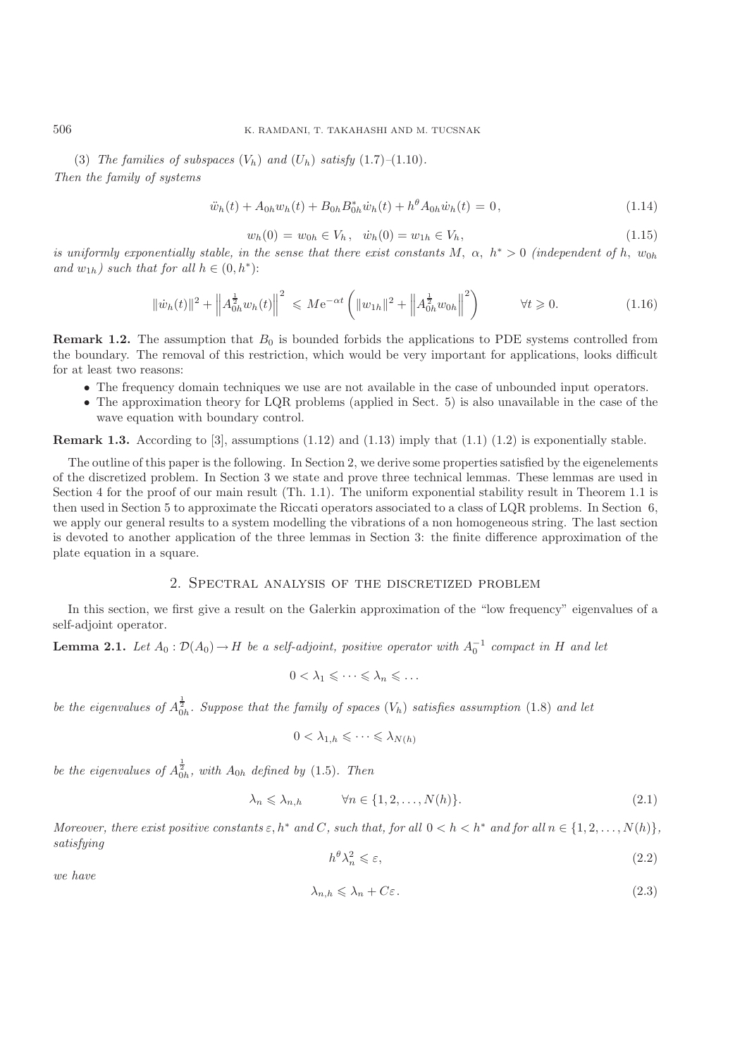(3) *The families of subspaces*  $(V_h)$  *and*  $(U_h)$  *satisfy*  $(1.7)$ – $(1.10)$ *. Then the family of systems*

$$
\ddot{w}_h(t) + A_{0h} w_h(t) + B_{0h} B_{0h}^* \dot{w}_h(t) + h^{\theta} A_{0h} \dot{w}_h(t) = 0, \qquad (1.14)
$$

$$
w_h(0) = w_{0h} \in V_h, \quad \dot{w}_h(0) = w_{1h} \in V_h,
$$
\n(1.15)

*is uniformly exponentially stable, in the sense that there exist constants*  $M$ ,  $\alpha$ ,  $h^* > 0$  *(independent of*  $h$ ,  $w_{0h}$ <br>*and*  $w_{11}$ ) *such that for all*  $h \in (0, h^*)$ . *and*  $w_{1h}$ *) such that for all*  $h \in (0, h^*)$ :

$$
\|\dot{w}_h(t)\|^2 + \left\|A_{0h}^{\frac{1}{2}}w_h(t)\right\|^2 \leqslant M e^{-\alpha t} \left(\|w_{1h}\|^2 + \left\|A_{0h}^{\frac{1}{2}}w_{0h}\right\|^2\right) \qquad \forall t \geqslant 0. \tag{1.16}
$$

**Remark 1.2.** The assumption that  $B_0$  is bounded forbids the applications to PDE systems controlled from the boundary. The removal of this restriction, which would be very important for applications, looks difficult for at least two reasons:

- The frequency domain techniques we use are not available in the case of unbounded input operators.
- The approximation theory for LQR problems (applied in Sect. 5) is also unavailable in the case of the wave equation with boundary control.

**Remark 1.3.** According to [3], assumptions  $(1.12)$  and  $(1.13)$  imply that  $(1.1)$   $(1.2)$  is exponentially stable.

The outline of this paper is the following. In Section 2, we derive some properties satisfied by the eigenelements of the discretized problem. In Section 3 we state and prove three technical lemmas. These lemmas are used in Section 4 for the proof of our main result (Th. 1.1). The uniform exponential stability result in Theorem 1.1 is then used in Section 5 to approximate the Riccati operators associated to a class of LQR problems. In Section 6, we apply our general results to a system modelling the vibrations of a non homogeneous string. The last section is devoted to another application of the three lemmas in Section 3: the finite difference approximation of the plate equation in a square.

### 2. Spectral analysis of the discretized problem

In this section, we first give a result on the Galerkin approximation of the "low frequency" eigenvalues of a self-adjoint operator.

**Lemma 2.1.** *Let*  $A_0: \mathcal{D}(A_0) \to H$  *be a self-adjoint, positive operator with*  $A_0^{-1}$  *compact in* H *and let* 

$$
0<\lambda_1\leqslant\cdots\leqslant\lambda_n\leqslant\ldots
$$

be the eigenvalues of  $A_{0h}^{\frac{1}{2}}$ . Suppose that the family of spaces  $(V_h)$  satisfies assumption (1.8) and let

$$
0 < \lambda_{1,h} \leqslant \cdots \leqslant \lambda_{N(h)}
$$

be the eigenvalues of  $A_{0h}^{\frac{1}{2}}$ , with  $A_{0h}$  defined by (1.5). Then

$$
\lambda_n \leq \lambda_{n,h} \qquad \forall n \in \{1, 2, \dots, N(h)\}.
$$
\n(2.1)

*Moreover, there exist positive constants*  $\varepsilon$ ,  $h^*$  *and*  $C$ *, such that, for all*  $0 < h < h^*$  *and for all*  $n \in \{1, 2, ..., N(h)\},\$ *satisfying*

$$
h^{\theta} \lambda_n^2 \leqslant \varepsilon,\tag{2.2}
$$

*we have*

$$
\lambda_{n,h} \leqslant \lambda_n + C\varepsilon. \tag{2.3}
$$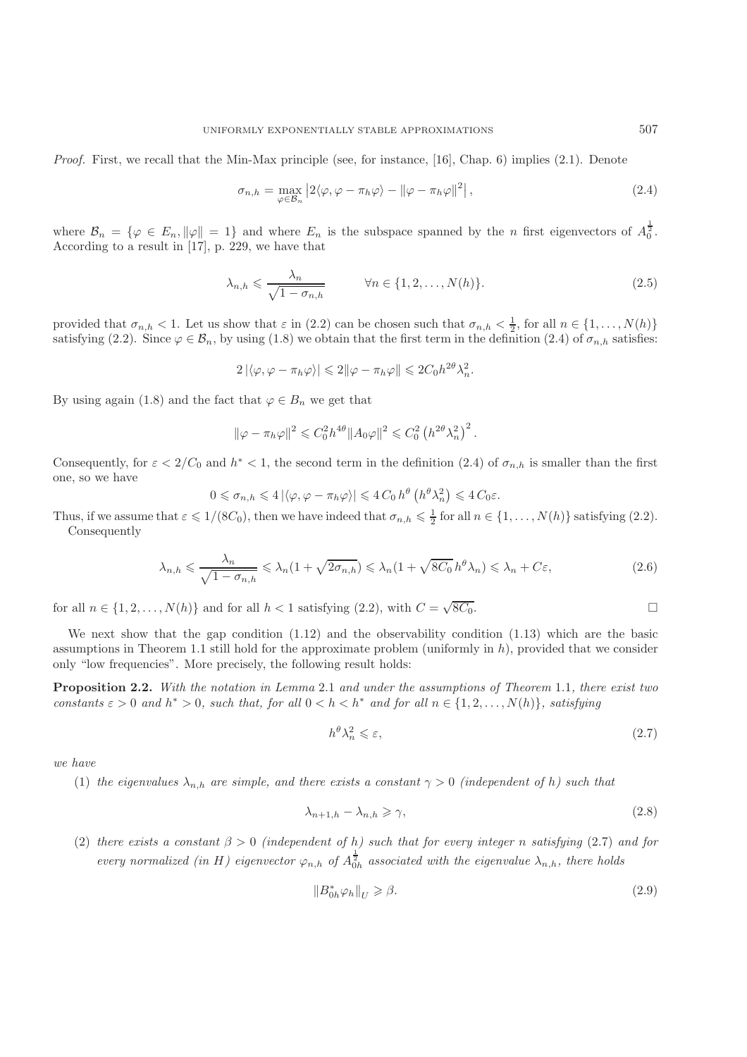*Proof.* First, we recall that the Min-Max principle (see, for instance, [16], Chap. 6) implies (2.1). Denote

$$
\sigma_{n,h} = \max_{\varphi \in \mathcal{B}_n} \left| 2 \langle \varphi, \varphi - \pi_h \varphi \rangle - ||\varphi - \pi_h \varphi||^2 \right|,\tag{2.4}
$$

where  $\mathcal{B}_n = \{ \varphi \in E_n, ||\varphi|| = 1 \}$  and where  $E_n$  is the subspace spanned by the *n* first eigenvectors of  $A_0^{\frac{1}{2}}$ . According to a result in [17], p. 229, we have that

$$
\lambda_{n,h} \leqslant \frac{\lambda_n}{\sqrt{1 - \sigma_{n,h}}} \qquad \forall n \in \{1, 2, \dots, N(h)\}.
$$
 (2.5)

provided that  $\sigma_{n,h} < 1$ . Let us show that  $\varepsilon$  in (2.2) can be chosen such that  $\sigma_{n,h} < \frac{1}{2}$ , for all  $n \in \{1, ..., N(h)\}$ <br>satisfying (2.2) Since  $\alpha \in \mathcal{B}$ , by using (1.8) we obtain that the first term in the definiti satisfying (2.2). Since  $\varphi \in \mathcal{B}_n$ , by using (1.8) we obtain that the first term in the definition (2.4) of  $\sigma_{n,h}$  satisfies:

$$
2|\langle \varphi, \varphi - \pi_h \varphi \rangle| \leq 2\|\varphi - \pi_h \varphi\| \leq 2C_0 h^{2\theta} \lambda_n^2.
$$

By using again (1.8) and the fact that  $\varphi \in B_n$  we get that

$$
\|\varphi - \pi_h \varphi\|^2 \leq C_0^2 h^{4\theta} \|A_0 \varphi\|^2 \leq C_0^2 \left( h^{2\theta} \lambda_n^2 \right)^2.
$$

Consequently, for  $\varepsilon < 2/C_0$  and  $h^* < 1$ , the second term in the definition (2.4) of  $\sigma_{n,h}$  is smaller than the first one, so we have

$$
0 \leq \sigma_{n,h} \leq 4 \left| \langle \varphi, \varphi - \pi_h \varphi \rangle \right| \leq 4 C_0 h^{\theta} \left( h^{\theta} \lambda_n^2 \right) \leq 4 C_0 \varepsilon.
$$

Thus, if we assume that  $\varepsilon \leq 1/(8C_0)$ , then we have indeed that  $\sigma_{n,h} \leq \frac{1}{2}$  for all  $n \in \{1,\ldots,N(h)\}$  satisfying (2.2).<br>Consequently Consequently

$$
\lambda_{n,h} \leqslant \frac{\lambda_n}{\sqrt{1 - \sigma_{n,h}}} \leqslant \lambda_n (1 + \sqrt{2\sigma_{n,h}}) \leqslant \lambda_n (1 + \sqrt{8C_0} \, h^{\theta} \lambda_n) \leqslant \lambda_n + C\varepsilon,\tag{2.6}
$$

for all  $n \in \{1, 2, ..., N(h)\}\$ and for all  $h < 1$  satisfying  $(2.2)$ , with  $C = \sqrt{8C_0}$ .

We next show that the gap condition (1.12) and the observability condition (1.13) which are the basic assumptions in Theorem 1.1 still hold for the approximate problem (uniformly in  $h$ ), provided that we consider only "low frequencies". More precisely, the following result holds:

**Proposition 2.2.** *With the notation in Lemma* 2.1 *and under the assumptions of Theorem* 1.1*, there exist two constants*  $\varepsilon > 0$  *and*  $h^* > 0$ *, such that, for all*  $0 < h < h^*$  *and for all*  $n \in \{1, 2, ..., N(h)\}$ *, satisfying* 

$$
h^{\theta} \lambda_n^2 \leqslant \varepsilon,\tag{2.7}
$$

*we have*

(1) *the eigenvalues*  $\lambda_{n,h}$  *are simple, and there exists a constant*  $\gamma > 0$  *(independent of h) such that* 

$$
\lambda_{n+1,h} - \lambda_{n,h} \ge \gamma,\tag{2.8}
$$

(2) *there exists a constant*  $\beta > 0$  *(independent of h) such that for every integer n satisfying* (2.7) *and for every normalized (in H) eigenvector*  $\varphi_{n,h}$  *of*  $A_{0h}^{\frac{1}{2}}$  *associated with the eigenvalue*  $\lambda_{n,h}$ *, there holds* 

$$
||B_{0h}^* \varphi_h||_U \geq \beta. \tag{2.9}
$$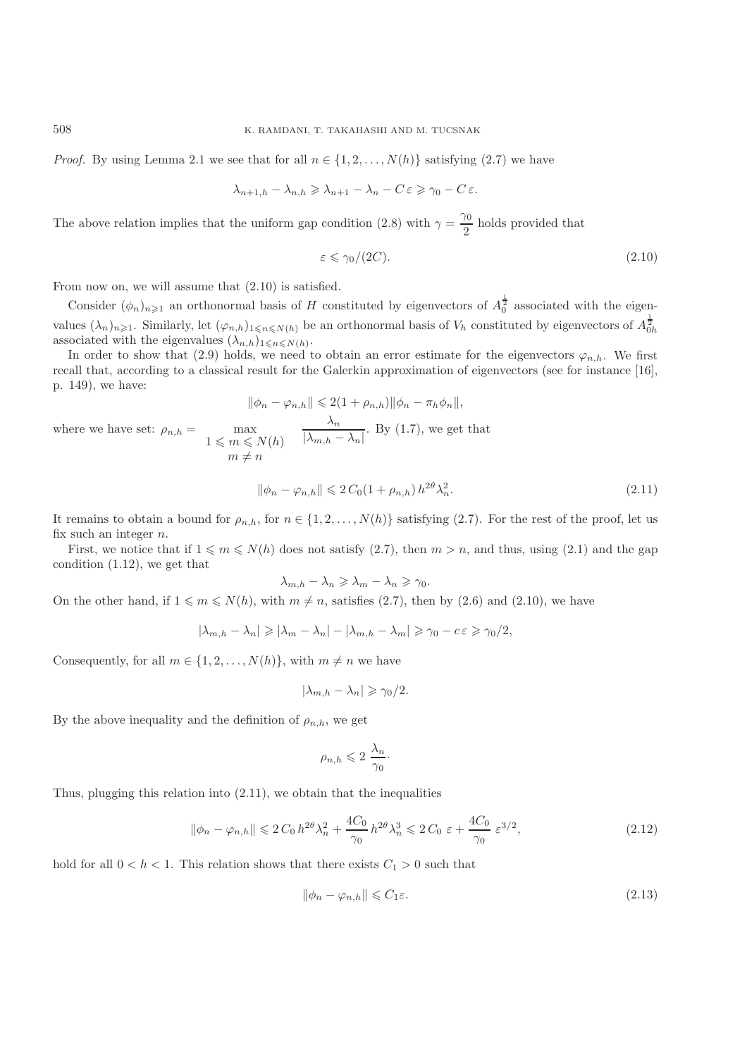*Proof.* By using Lemma 2.1 we see that for all  $n \in \{1, 2, ..., N(h)\}\$  satisfying (2.7) we have

$$
\lambda_{n+1,h} - \lambda_{n,h} \geqslant \lambda_{n+1} - \lambda_n - C \varepsilon \geqslant \gamma_0 - C \varepsilon.
$$

The above relation implies that the uniform gap condition (2.8) with  $\gamma = \frac{\gamma_0}{2}$  holds provided that

$$
\varepsilon \le \gamma_0/(2C). \tag{2.10}
$$

From now on, we will assume that (2.10) is satisfied.

Consider  $(\phi_n)_{n\geqslant1}$  an orthonormal basis of H constituted by eigenvectors of  $A_0^{\frac{1}{2}}$  associated with the eigenvalues  $(\lambda_n)_{n\geq 1}$ . Similarly, let  $(\varphi_{n,h})_{1\leq n\leq N(h)}$  be an orthonormal basis of  $V_h$  constituted by eigenvectors of  $A_{0h}^{\frac{1}{2}}$ associated with the eigenvalues  $(\lambda_{n,h})_{1\leq n\leq N(h)}$ .<br>In order to show that (2.0) holds, we need to

In order to show that (2.9) holds, we need to obtain an error estimate for the eigenvectors  $\varphi_{n,h}$ . We first recall that, according to a classical result for the Galerkin approximation of eigenvectors (see for instance [16], p. 149), we have:

$$
\|\phi_n - \varphi_{n,h}\| \leq 2(1 + \rho_{n,h}) \|\phi_n - \pi_h \phi_n\|,
$$
  
where we have set:  $\rho_{n,h} = \max_{\begin{subarray}{l} 1 \leq m \leq N(h) \\ m \neq n \end{subarray}} \frac{\lambda_n}{|\lambda_{m,h} - \lambda_n|}.$  By (1.7), we get that

$$
\|\phi_n - \varphi_{n,h}\| \leqslant 2\,C_0\left(1 + \rho_{n,h}\right)h^{2\theta}\lambda_n^2. \tag{2.11}
$$

It remains to obtain a bound for  $\rho_{n,h}$ , for  $n \in \{1, 2, ..., N(h)\}$  satisfying (2.7). For the rest of the proof, let us fix such an integer  $n$ .

First, we notice that if  $1 \leq m \leq N(h)$  does not satisfy  $(2.7)$ , then  $m > n$ , and thus, using  $(2.1)$  and the gap condition (1.12), we get that

$$
\lambda_{m,h} - \lambda_n \geqslant \lambda_m - \lambda_n \geqslant \gamma_0.
$$

On the other hand, if  $1 \leq m \leq N(h)$ , with  $m \neq n$ , satisfies (2.7), then by (2.6) and (2.10), we have

$$
|\lambda_{m,h} - \lambda_n| \ge |\lambda_m - \lambda_n| - |\lambda_{m,h} - \lambda_m| \ge \gamma_0 - c \varepsilon \ge \gamma_0/2,
$$

Consequently, for all  $m \in \{1, 2, ..., N(h)\}$ , with  $m \neq n$  we have

$$
|\lambda_{m,h} - \lambda_n| \geq \gamma_0/2.
$$

By the above inequality and the definition of  $\rho_{n,h}$ , we get

$$
\rho_{n,h} \leqslant 2 \frac{\lambda_n}{\gamma_0}.
$$

Thus, plugging this relation into (2.11), we obtain that the inequalities

$$
\|\phi_n - \varphi_{n,h}\| \leq 2C_0 h^{2\theta} \lambda_n^2 + \frac{4C_0}{\gamma_0} h^{2\theta} \lambda_n^3 \leq 2C_0 \varepsilon + \frac{4C_0}{\gamma_0} \varepsilon^{3/2},\tag{2.12}
$$

hold for all  $0 < h < 1$ . This relation shows that there exists  $C_1 > 0$  such that

$$
\|\phi_n - \varphi_{n,h}\| \leqslant C_1 \varepsilon. \tag{2.13}
$$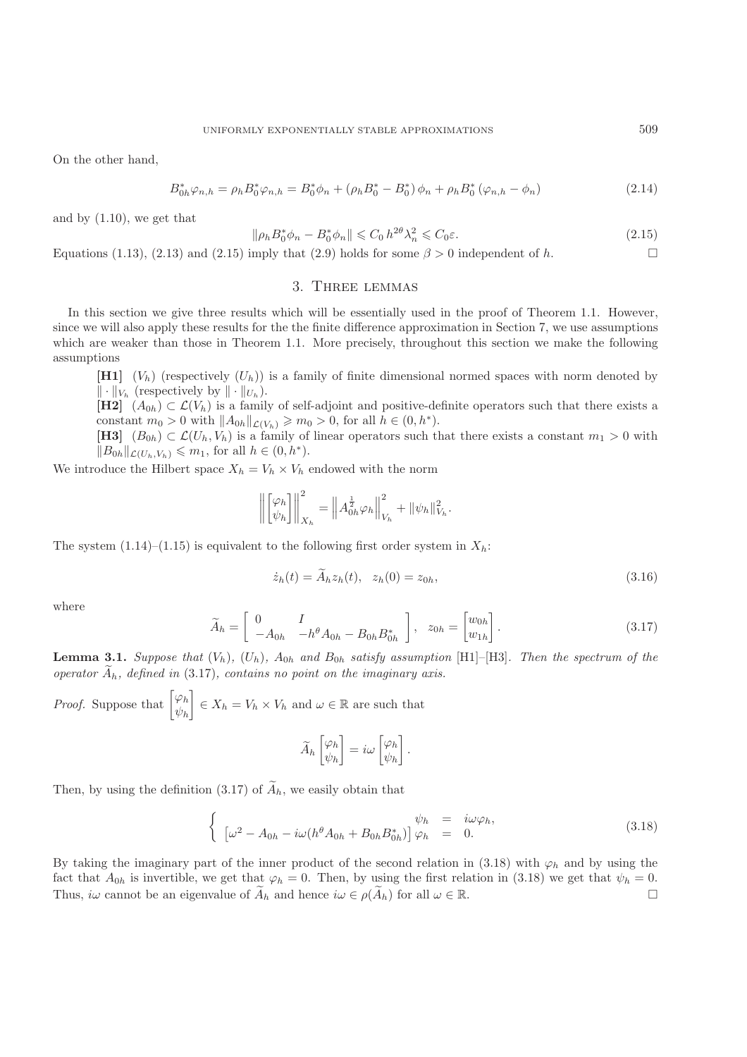On the other hand,

$$
B_{0h}^* \varphi_{n,h} = \rho_h B_0^* \varphi_{n,h} = B_0^* \phi_n + (\rho_h B_0^* - B_0^*) \phi_n + \rho_h B_0^* (\varphi_{n,h} - \phi_n)
$$
\n(2.14)

and by (1.10), we get that

$$
\|\rho_h B_0^* \phi_n - B_0^* \phi_n\| \leq C_0 h^{2\theta} \lambda_n^2 \leq C_0 \varepsilon. \tag{2.15}
$$

Equations (1.13), (2.13) and (2.15) imply that (2.9) holds for some  $\beta > 0$  independent of h.

# 3. Three lemmas

In this section we give three results which will be essentially used in the proof of Theorem 1.1. However, since we will also apply these results for the the finite difference approximation in Section 7, we use assumptions which are weaker than those in Theorem 1.1. More precisely, throughout this section we make the following assumptions

**[H1]**  $(V_h)$  (respectively  $(U_h)$ ) is a family of finite dimensional normed spaces with norm denoted by  $\|\cdot\|_{V_h}$  (respectively by  $\|\cdot\|_{U_h}$ ).

**[H2]**  $(A_{0h}) \subset \mathcal{L}(V_h)$  is a family of self-adjoint and positive-definite operators such that there exists a constant  $m_0 > 0$  with  $||A_{0h}||_{\mathcal{L}(V_h)} \geqslant m_0 > 0$ , for all  $h \in (0, h^*)$ .

[**H3**]  $(B_{0h}) \subset \mathcal{L}(U_h, V_h)$  is a family of linear operators such that there exists a constant  $m_1 > 0$  with  $||B_{0h}||_{\mathcal{L}(U_h, V_h)} \leq m_1$ , for all  $h \in (0, h^*)$ .

We introduce the Hilbert space  $X_h = V_h \times V_h$  endowed with the norm

$$
\left\| \begin{bmatrix} \varphi_h \\ \psi_h \end{bmatrix} \right\|_{X_h}^2 = \left\| A_{0h}^{\frac{1}{2}} \varphi_h \right\|_{V_h}^2 + \|\psi_h\|_{V_h}^2.
$$

The system  $(1.14)$ – $(1.15)$  is equivalent to the following first order system in  $X_h$ :

$$
\dot{z}_h(t) = \dot{A}_h z_h(t), \quad z_h(0) = z_{0h},\tag{3.16}
$$

where

$$
\widetilde{A}_h = \begin{bmatrix} 0 & I \\ -A_{0h} & -h^{\theta}A_{0h} - B_{0h}B_{0h}^* \end{bmatrix}, \quad z_{0h} = \begin{bmatrix} w_{0h} \\ w_{1h} \end{bmatrix}.
$$
\n(3.17)

**Lemma 3.1.** *Suppose that*  $(V_h)$ *,*  $(U_h)$ *,*  $A_{0h}$  *and*  $B_{0h}$  *satisfy assumption* [H1]–[H3]*. Then the spectrum of the operator*  $\widetilde{A}_h$ *, defined in* (3.17)*, contains no point on the imaginary axis.* 

*Proof.* Suppose that  $\begin{bmatrix} \varphi_h \\ \varphi_h \end{bmatrix}$  $\psi_h$  $\Big] \in X_h = V_h \times V_h$  and  $\omega \in \mathbb{R}$  are such that

$$
\widetilde{A}_h \begin{bmatrix} \varphi_h \\ \psi_h \end{bmatrix} = i\omega \begin{bmatrix} \varphi_h \\ \psi_h \end{bmatrix}.
$$

Then, by using the definition (3.17) of  $\widetilde{A}_h$ , we easily obtain that

$$
\begin{cases}\n\psi_h = i\omega \varphi_h, \\
[\omega^2 - A_{0h} - i\omega (h^{\theta} A_{0h} + B_{0h} B_{0h}^*)] \varphi_h = 0.\n\end{cases}
$$
\n(3.18)

By taking the imaginary part of the inner product of the second relation in (3.18) with  $\varphi_h$  and by using the fact that  $A_{0h}$  is invertible, we get that  $\varphi_h = 0$ . Then, by using the first relation in (3.18) we get that  $\psi_h = 0$ .<br>Thus,  $i\omega$  cannot be an eigenvalue of  $\widetilde{A}_h$  and hence  $i\omega \in \rho(\widetilde{A}_h)$  for all  $\omega \in \mathbb{R}$ Thus,  $i\omega$  cannot be an eigenvalue of  $\widetilde{A}_h$  and hence  $i\omega \in \rho(\widetilde{A}_h)$  for all  $\omega \in \mathbb{R}$ .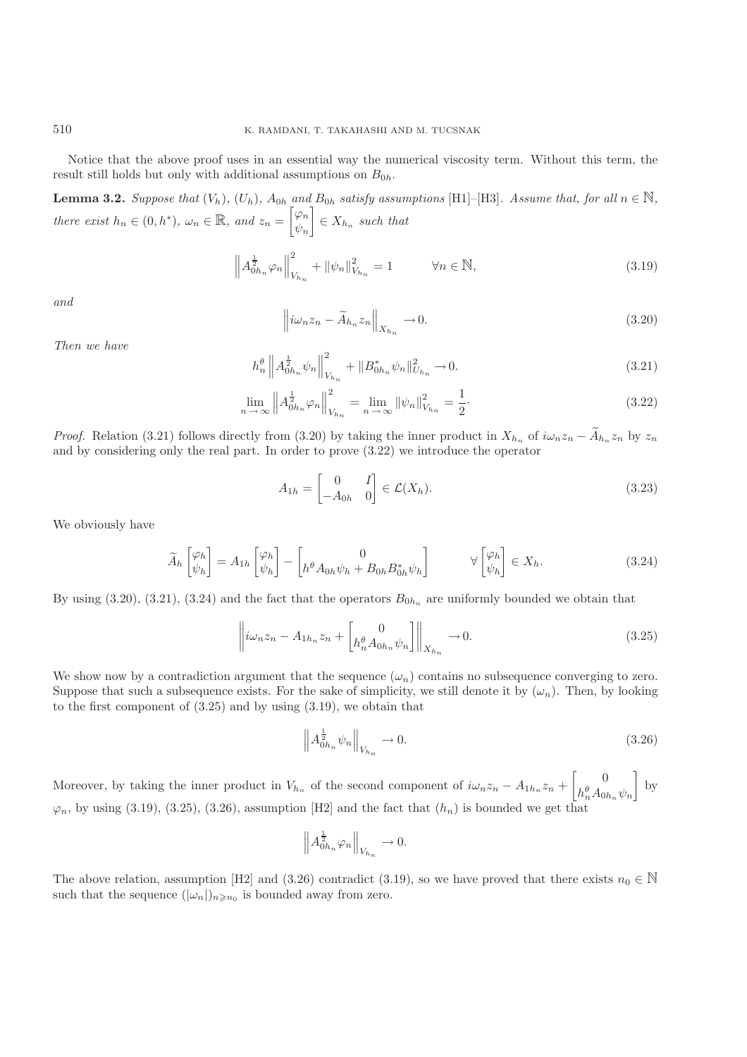Notice that the above proof uses in an essential way the numerical viscosity term. Without this term, the result still holds but only with additional assumptions on  $B_{0h}$ .

**Lemma 3.2.** Suppose that  $(V_h)$ ,  $(U_h)$ ,  $A_{0h}$  and  $B_{0h}$  satisfy assumptions [H1]–[H3]*. Assume that, for all*  $n \in \mathbb{N}$ *, there exist*  $h_n \in (0, h^*)$ ,  $\omega_n \in \mathbb{R}$ , and  $z_n = \begin{bmatrix} \varphi_n \\ \psi_n \end{bmatrix}$  $\psi_n$  $\Big] \in X_{h_n}$  *such that* 

$$
\left\| A_{0h_n}^{\frac{1}{2}} \varphi_n \right\|_{V_{h_n}}^2 + \left\| \psi_n \right\|_{V_{h_n}}^2 = 1 \qquad \forall n \in \mathbb{N}, \tag{3.19}
$$

*and*

$$
\left\|i\omega_n z_n - \widetilde{A}_{h_n} z_n\right\|_{X_{h_n}} \to 0. \tag{3.20}
$$

*Then we have*

$$
h_n^{\theta} \left\| A_{0h_n}^{\frac{1}{2}} \psi_n \right\|_{V_{h_n}}^2 + \| B_{0h_n}^* \psi_n \|_{U_{h_n}}^2 \to 0. \tag{3.21}
$$

$$
\lim_{n \to \infty} \left\| A_{0h_n}^{\frac{1}{2}} \varphi_n \right\|_{V_{h_n}}^2 = \lim_{n \to \infty} \left\| \psi_n \right\|_{V_{h_n}}^2 = \frac{1}{2}.
$$
\n(3.22)

*Proof.* Relation (3.21) follows directly from (3.20) by taking the inner product in  $X_{h_n}$  of  $i\omega_n z_n - \widetilde{A}_{h_n} z_n$  by  $z_n$ and by considering only the real part. In order to prove (3.22) we introduce the operator

$$
A_{1h} = \begin{bmatrix} 0 & I \\ -A_{0h} & 0 \end{bmatrix} \in \mathcal{L}(X_h). \tag{3.23}
$$

We obviously have

$$
\widetilde{A}_h \begin{bmatrix} \varphi_h \\ \psi_h \end{bmatrix} = A_{1h} \begin{bmatrix} \varphi_h \\ \psi_h \end{bmatrix} - \begin{bmatrix} 0 \\ h^{\theta} A_{0h} \psi_h + B_{0h} B_{0h}^* \psi_h \end{bmatrix} \qquad \forall \begin{bmatrix} \varphi_h \\ \psi_h \end{bmatrix} \in X_h.
$$
\n(3.24)

By using  $(3.20)$ ,  $(3.21)$ ,  $(3.24)$  and the fact that the operators  $B_{0h_n}$  are uniformly bounded we obtain that

$$
\left\| i\omega_n z_n - A_{1h_n} z_n + \begin{bmatrix} 0 \\ h_n^{\theta} A_{0h_n} \psi_n \end{bmatrix} \right\|_{X_{h_n}} \to 0.
$$
 (3.25)

We show now by a contradiction argument that the sequence  $(\omega_n)$  contains no subsequence converging to zero. Suppose that such a subsequence exists. For the sake of simplicity, we still denote it by  $(\omega_n)$ . Then, by looking to the first component of (3.25) and by using (3.19), we obtain that

$$
\left\| A_{0h_n}^{\frac{1}{2}} \psi_n \right\|_{V_{h_n}} \to 0. \tag{3.26}
$$

Moreover, by taking the inner product in  $V_{h_n}$  of the second component of  $i\omega_n z_n - A_{1h_n} z_n + \begin{bmatrix} 0 \\ h_n^{\theta} A_{0n} \end{bmatrix}$  $h_n^{\theta} A_{0h_n} \psi_n$ <sub>at</sub>  $\Big]$  by  $\varphi_n$ , by using (3.19), (3.25), (3.26), assumption [H2] and the fact that  $(h_n)$  is bounded we get that

$$
\left\| A_{0h_n}^{\frac{1}{2}} \varphi_n \right\|_{V_{h_n}} \to 0.
$$

The above relation, assumption [H2] and (3.26) contradict (3.19), so we have proved that there exists  $n_0 \in \mathbb{N}$ such that the sequence  $(|\omega_n|)_{n\geq n_0}$  is bounded away from zero.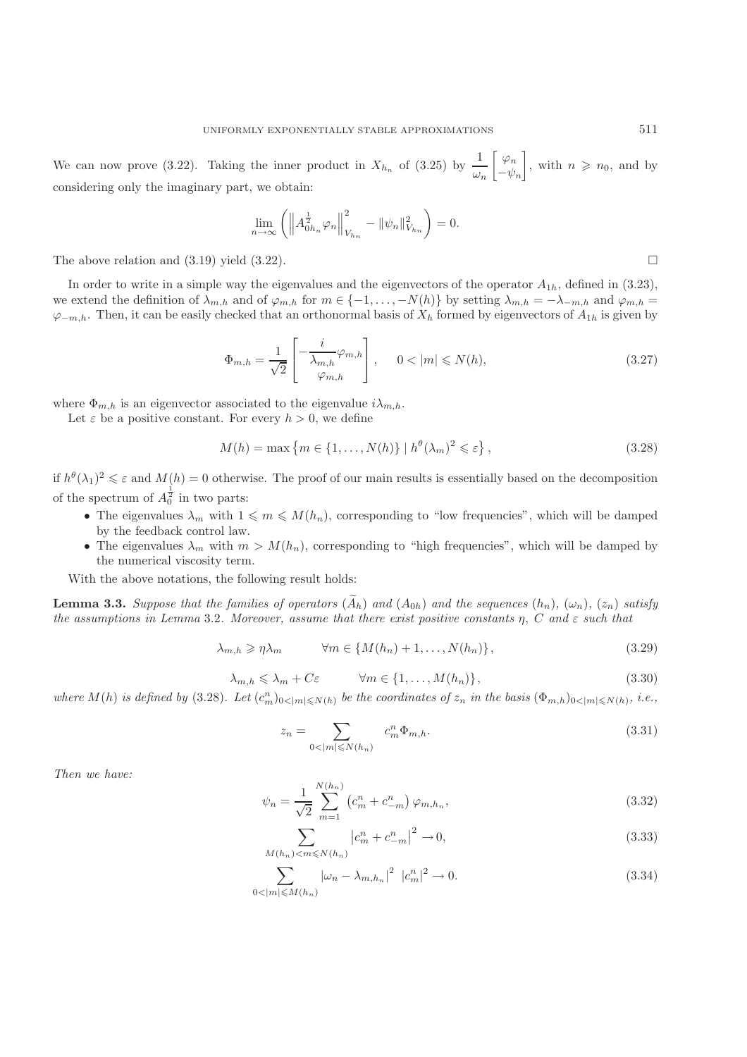We can now prove (3.22). Taking the inner product in  $X_{h_n}$  of (3.25) by  $\frac{1}{\omega_n}$  considering only the imaginary part, we obtain:  $\left[\begin{array}{c} \varphi_n \\ -\nu \end{array}\right]$  $-\psi_n$ , with  $n \geqslant n_0$ , and by considering only the imaginary part, we obtain:

$$
\lim_{n \to \infty} \left( \left\| A_{0h_n}^{\frac{1}{2}} \varphi_n \right\|_{V_{h_n}}^2 - \|\psi_n\|_{V_{h_n}}^2 \right) = 0.
$$

The above relation and  $(3.19)$  yield  $(3.22)$ .

In order to write in a simple way the eigenvalues and the eigenvectors of the operator  $A_{1h}$ , defined in (3.23), we extend the definition of  $\lambda_{m,h}$  and of  $\varphi_{m,h}$  for  $m \in \{-1,\ldots,-N(h)\}$  by setting  $\lambda_{m,h} = -\lambda_{-m,h}$  and  $\varphi_{m,h} =$  $\varphi_{-m,h}$ . Then, it can be easily checked that an orthonormal basis of  $X_h$  formed by eigenvectors of  $A_{1h}$  is given by

$$
\Phi_{m,h} = \frac{1}{\sqrt{2}} \begin{bmatrix} -\frac{i}{\lambda_{m,h}} \varphi_{m,h} \\ \varphi_{m,h} \end{bmatrix}, \quad 0 < |m| \leq N(h), \tag{3.27}
$$

where  $\Phi_{m,h}$  is an eigenvector associated to the eigenvalue  $i\lambda_{m,h}$ .

Let  $\varepsilon$  be a positive constant. For every  $h > 0$ , we define

$$
M(h) = \max\left\{m \in \{1, \ldots, N(h)\} \mid h^{\theta}(\lambda_m)^2 \leq \varepsilon\right\},\tag{3.28}
$$

if  $h^{\theta}(\lambda_1)^2 \leq \varepsilon$  and  $M(h) = 0$  otherwise. The proof of our main results is essentially based on the decomposition of the spectrum of  $A_0^{\frac{1}{2}}$  in two parts:

- The eigenvalues  $\lambda_m$  with  $1 \leq m \leq M(h_n)$ , corresponding to "low frequencies", which will be damped<br>by the feedback control law by the feedback control law.
- The eigenvalues  $\lambda_m$  with  $m > M(h_n)$ , corresponding to "high frequencies", which will be damped by the numerical viscosity term.

With the above notations, the following result holds:

**Lemma 3.3.** *Suppose that the families of operators*  $(\widetilde{A}_h)$  *and*  $(A_{0h})$  *and the sequences*  $(h_n)$ *,*  $(\omega_n)$ *,*  $(z_n)$  *satisfy the assumptions in Lemma* 3.2*. Moreover, assume that there exist positive constants* η, C *and* ε *such that*

$$
\lambda_{m,h} \geqslant \eta \lambda_m \qquad \forall m \in \{M(h_n) + 1, \dots, N(h_n)\},\tag{3.29}
$$

$$
\lambda_{m,h} \leq \lambda_m + C\varepsilon \qquad \forall m \in \{1, \dots, M(h_n)\},\tag{3.30}
$$

where  $M(h)$  is defined by (3.28). Let  $(c_m^n)_{0 \le |m| \le N(h)}$  be the coordinates of  $z_n$  in the basis  $(\Phi_{m,h})_{0 \le |m| \le N(h)}$ , i.e.,

$$
z_n = \sum_{0 < |m| \leqslant N(h_n)} c_m^n \Phi_{m,h}.\tag{3.31}
$$

*Then we have:*

$$
\psi_n = \frac{1}{\sqrt{2}} \sum_{m=1}^{N(h_n)} \left( c_m^n + c_{-m}^n \right) \varphi_{m,h_n},\tag{3.32}
$$

$$
\sum_{M(h_n) < m \le N(h_n)} \left| c_m^n + c_{-m}^n \right|^2 \to 0,\tag{3.33}
$$

$$
\sum_{0 < |m| \le M(h_n)} |\omega_n - \lambda_{m,h_n}|^2 \, |c_m^n|^2 \to 0. \tag{3.34}
$$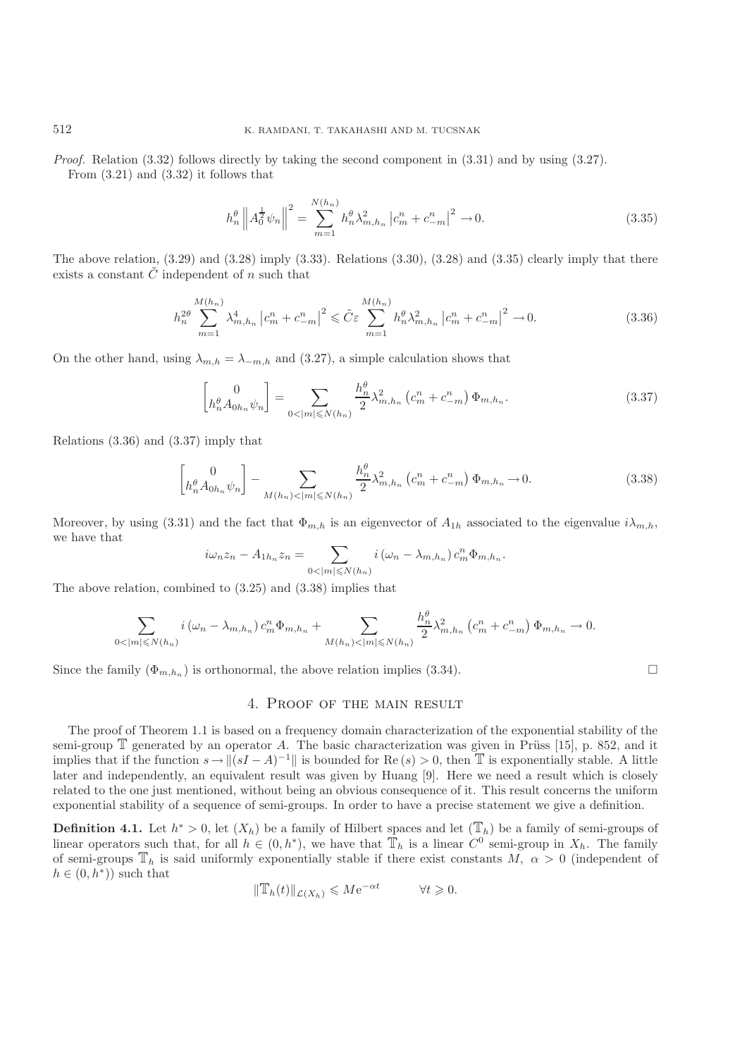*Proof.* Relation (3.32) follows directly by taking the second component in (3.31) and by using (3.27). From  $(3.21)$  and  $(3.32)$  it follows that

$$
h_n^{\theta} \left\| A_0^{\frac{1}{2}} \psi_n \right\|^2 = \sum_{m=1}^{N(h_n)} h_n^{\theta} \lambda_{m,h_n}^2 \left| c_m^n + c_{-m}^n \right|^2 \to 0. \tag{3.35}
$$

The above relation,  $(3.29)$  and  $(3.28)$  imply  $(3.33)$ . Relations  $(3.30)$ ,  $(3.28)$  and  $(3.35)$  clearly imply that there exists a constant  $\tilde{C}$  independent of n such that

$$
h_n^{2\theta} \sum_{m=1}^{M(h_n)} \lambda_{m,h_n}^4 \left| c_m^n + c_{-m}^n \right|^2 \leq \tilde{C} \varepsilon \sum_{m=1}^{M(h_n)} h_n^{\theta} \lambda_{m,h_n}^2 \left| c_m^n + c_{-m}^n \right|^2 \to 0. \tag{3.36}
$$

On the other hand, using  $\lambda_{m,h} = \lambda_{-m,h}$  and (3.27), a simple calculation shows that

$$
\begin{bmatrix} 0\\ h_n^{\theta} A_{0h_n} \psi_n \end{bmatrix} = \sum_{0 < |m| \leq N(h_n)} \frac{h_n^{\theta}}{2} \lambda_{m,h_n}^2 \left( c_m^n + c_{-m}^n \right) \Phi_{m,h_n}.\tag{3.37}
$$

Relations (3.36) and (3.37) imply that

$$
\begin{bmatrix} 0 \\ h_n^{\theta} A_{0h_n} \psi_n \end{bmatrix} - \sum_{M(h_n) < |m| \le N(h_n)} \frac{h_n^{\theta}}{2} \lambda_{m,h_n}^2 \left( c_m^n + c_{-m}^n \right) \Phi_{m,h_n} \to 0. \tag{3.38}
$$

Moreover, by using (3.31) and the fact that  $\Phi_{m,h}$  is an eigenvector of  $A_{1h}$  associated to the eigenvalue  $i\lambda_{m,h}$ , we have that

$$
i\omega_n z_n - A_{1h_n} z_n = \sum_{0 < |m| \leq N(h_n)} i(\omega_n - \lambda_{m,h_n}) c_m^n \Phi_{m,h_n}.
$$

The above relation, combined to (3.25) and (3.38) implies that

$$
\sum_{0<|m|\leqslant N(h_n)}i(\omega_n-\lambda_{m,h_n})c_m^n\Phi_{m,h_n}+\sum_{M(h_n)<|m|\leqslant N(h_n)}\frac{h_n^{\theta}}{2}\lambda_{m,h_n}^2\left(c_m^n+c_{-m}^n\right)\Phi_{m,h_n}\to 0.
$$

Since the family  $(\Phi_{m,h_n})$  is orthonormal, the above relation implies (3.34).

### 4. Proof of the main result

The proof of Theorem 1.1 is based on a frequency domain characterization of the exponential stability of the semi-group  $\mathbb T$  generated by an operator A. The basic characterization was given in Prüss [15], p. 852, and it implies that if the function  $s \to \|(sI - A)^{-1}\|$  is bounded for Re  $(s) > 0$ , then T is exponentially stable. A little later and independently, an equivalent result was given by Huang [9]. Here we need a result which is closely related to the one just mentioned, without being an obvious consequence of it. This result concerns the uniform exponential stability of a sequence of semi-groups. In order to have a precise statement we give a definition.

**Definition 4.1.** Let  $h^* > 0$ , let  $(X_h)$  be a family of Hilbert spaces and let  $(\mathbb{T}_h)$  be a family of semi-groups of linear operators such that, for all  $h \in (0, h^*)$ , we have that  $\mathbb{T}_h$  is a linear  $C^0$  semi-group in  $X_h$ . The family of semi-groups  $\mathbb{T}_h$  is said uniformly exponentially stable if there exist constants  $M, \alpha > 0$  (independent of  $h \in (0, h^*)$  such that

$$
\|\mathbb{T}_h(t)\|_{\mathcal{L}(X_h)} \leqslant M e^{-\alpha t} \qquad \forall t \geqslant 0.
$$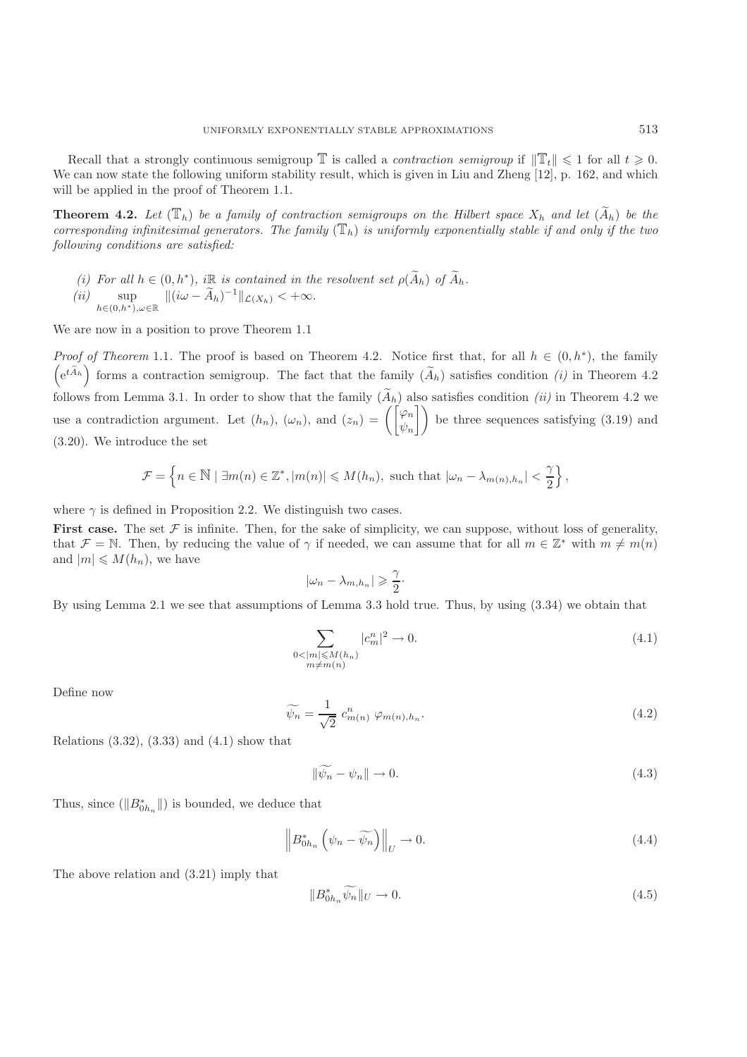Recall that a strongly continuous semigroup  $\mathbb{T}$  is called a *contraction semigroup* if  $\|\mathbb{T}_t\| \leq 1$  for all  $t \geq 0$ . We can now state the following uniform stability result, which is given in Liu and Zheng [12], p. 162, and which will be applied in the proof of Theorem 1.1.

**Theorem 4.2.** Let  $(\mathbb{T}_h)$  be a family of contraction semigroups on the Hilbert space  $X_h$  and let  $(\widetilde{A}_h)$  be the *corresponding infinitesimal generators. The family*  $(\mathbb{T}_h)$  *is uniformly exponentially stable if and only if the two following conditions are satisfied:*

*(i)* For all  $h \in (0, h^*)$ ,  $i\mathbb{R}$  *is contained in the resolvent set*  $\rho(\widetilde{A}_h)$  of  $\widetilde{A}_h$ .<br> *(ii)* sup  $\| (i\omega - \widetilde{A}_h)^{-1} \|_{\mathcal{L}(X_h)} < +\infty$ .

 $\sup_{h \in (0,h^*), \omega \in \mathbb{R}} \| (\iota \omega - \widetilde{A}_h)^{-1} \|_{\mathcal{L}(X_h)} < +\infty.$ 

We are now in a position to prove Theorem 1.1

*Proof of Theorem* 1.1. The proof is based on Theorem 4.2. Notice first that, for all  $h \in (0, h^*)$ , the family  $\left(e^{t\widetilde{A}_h}\right)$  forms a contraction semigroup. The fact that the family  $(\widetilde{A}_h)$  satisfies condition *(i)* in Theorem 4.2 follows from Lemma 3.1. In order to show that the family  $(\widetilde{A}_h)$  also satisfies condition *(ii)* in Theorem 4.2 we use a contradiction argument. Let  $(h_n)$ ,  $(\omega_n)$ , and  $(z_n) = \begin{pmatrix} \varphi_n \\ \psi_n \end{pmatrix}$ <br>(3.20) We introduce the set  $\log$  be three sequences satisfying (3.19) and (3.20). We introduce the set

$$
\mathcal{F} = \left\{ n \in \mathbb{N} \mid \exists m(n) \in \mathbb{Z}^*, |m(n)| \leq M(h_n), \text{ such that } |\omega_n - \lambda_{m(n),h_n}| < \frac{\gamma}{2} \right\},\
$$

where  $\gamma$  is defined in Proposition 2.2. We distinguish two cases.

**First case.** The set  $F$  is infinite. Then, for the sake of simplicity, we can suppose, without loss of generality, that  $\mathcal{F} = \mathbb{N}$ . Then, by reducing the value of  $\gamma$  if needed, we can assume that for all  $m \in \mathbb{Z}^*$  with  $m \neq m(n)$ and  $|m| \leq M(h_n)$ , we have

$$
|\omega_n - \lambda_{m,h_n}| \geq \frac{\gamma}{2}.
$$

By using Lemma 2.1 we see that assumptions of Lemma 3.3 hold true. Thus, by using (3.34) we obtain that

$$
\sum_{\substack{0 < |m| \le M(h_n) \\ m \ne m(n)}} |c_m^n|^2 \to 0. \tag{4.1}
$$

Define now

$$
\widetilde{\psi_n} = \frac{1}{\sqrt{2}} c_{m(n)}^n \varphi_{m(n),h_n}.
$$
\n(4.2)

Relations  $(3.32)$ ,  $(3.33)$  and  $(4.1)$  show that

$$
\|\widetilde{\psi_n} - \psi_n\| \to 0. \tag{4.3}
$$

Thus, since  $(\|B_{0h_n}^*\|)$  is bounded, we deduce that

$$
\left\| B_{0h_n}^* \left( \psi_n - \widetilde{\psi_n} \right) \right\|_U \to 0. \tag{4.4}
$$

The above relation and (3.21) imply that

$$
||B_{0h_n}^* \widetilde{\psi_n}||_U \to 0. \tag{4.5}
$$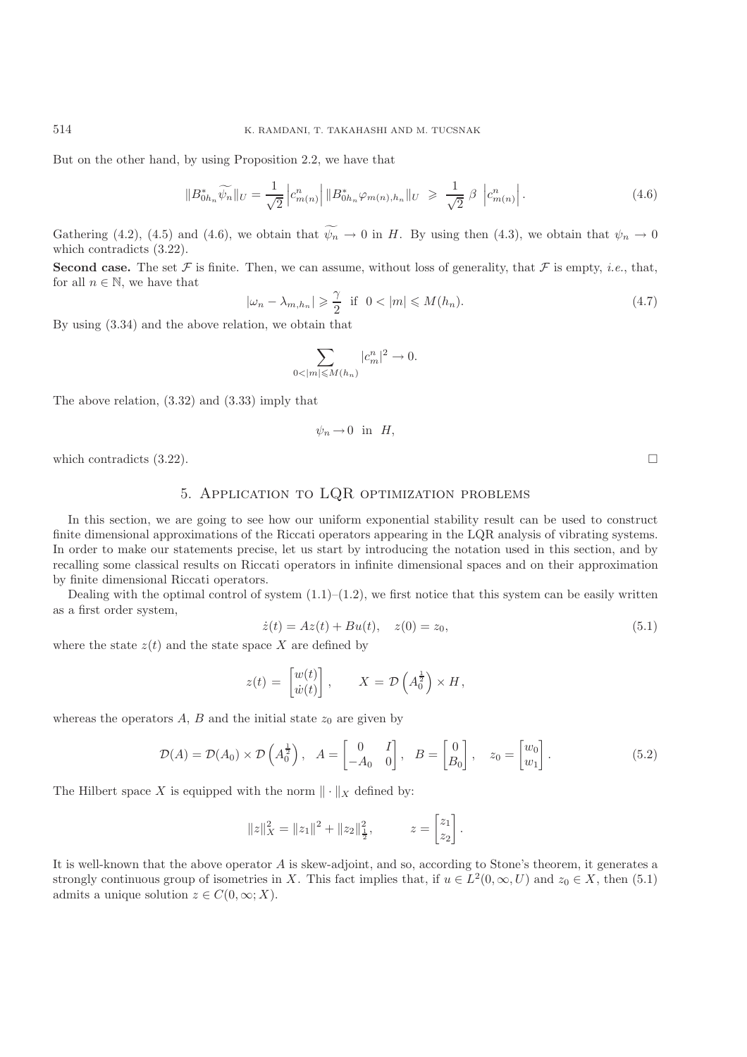But on the other hand, by using Proposition 2.2, we have that

$$
||B_{0h_n}^* \widetilde{\psi_n}||_U = \frac{1}{\sqrt{2}} \left| c_{m(n)}^n \right| ||B_{0h_n}^* \varphi_{m(n),h_n}||_U \geq \frac{1}{\sqrt{2}} \beta \left| c_{m(n)}^n \right|.
$$
 (4.6)

Gathering (4.2), (4.5) and (4.6), we obtain that  $\psi_n \to 0$  in H. By using then (4.3), we obtain that  $\psi_n \to 0$  which contradicts (3.22) which contradicts (3.22).

**Second case.** The set F is finite. Then, we can assume, without loss of generality, that F is empty, *i.e.*, that, for all  $n \in \mathbb{N}$ , we have that

$$
|\omega_n - \lambda_{m,h_n}| \geq \frac{\gamma}{2} \quad \text{if} \quad 0 < |m| \leq M(h_n). \tag{4.7}
$$

By using (3.34) and the above relation, we obtain that

$$
\sum_{0<|m|\leqslant M(h_n)}|c^n_m|^2\to 0.
$$

The above relation, (3.32) and (3.33) imply that

$$
\psi_n \to 0 \quad \text{in} \quad H,
$$

which contradicts  $(3.22)$ .

# 5. Application to LQR optimization problems

In this section, we are going to see how our uniform exponential stability result can be used to construct finite dimensional approximations of the Riccati operators appearing in the LQR analysis of vibrating systems. In order to make our statements precise, let us start by introducing the notation used in this section, and by recalling some classical results on Riccati operators in infinite dimensional spaces and on their approximation by finite dimensional Riccati operators.

Dealing with the optimal control of system  $(1.1)$ – $(1.2)$ , we first notice that this system can be easily written as a first order system,

$$
\dot{z}(t) = Az(t) + Bu(t), \quad z(0) = z_0,
$$
\n(5.1)

where the state  $z(t)$  and the state space X are defined by

$$
z(t) = \begin{bmatrix} w(t) \\ \dot{w}(t) \end{bmatrix}, \qquad X = \mathcal{D}\left(A_0^{\frac{1}{2}}\right) \times H,
$$

whereas the operators  $A, B$  and the initial state  $z_0$  are given by

$$
\mathcal{D}(A) = \mathcal{D}(A_0) \times \mathcal{D}\left(A_0^{\frac{1}{2}}\right), \quad A = \begin{bmatrix} 0 & I \\ -A_0 & 0 \end{bmatrix}, \quad B = \begin{bmatrix} 0 \\ B_0 \end{bmatrix}, \quad z_0 = \begin{bmatrix} w_0 \\ w_1 \end{bmatrix}.
$$
 (5.2)

The Hilbert space X is equipped with the norm  $\|\cdot\|_X$  defined by:

$$
||z||_X^2 = ||z_1||^2 + ||z_2||_{\frac{1}{2}}^2, \qquad z = \begin{bmatrix} z_1 \\ z_2 \end{bmatrix}.
$$

It is well-known that the above operator A is skew-adjoint, and so, according to Stone's theorem, it generates a strongly continuous group of isometries in X. This fact implies that, if  $u \in L^2(0,\infty,U)$  and  $z_0 \in X$ , then (5.1) admits a unique solution  $z \in C(0, \infty; X)$ .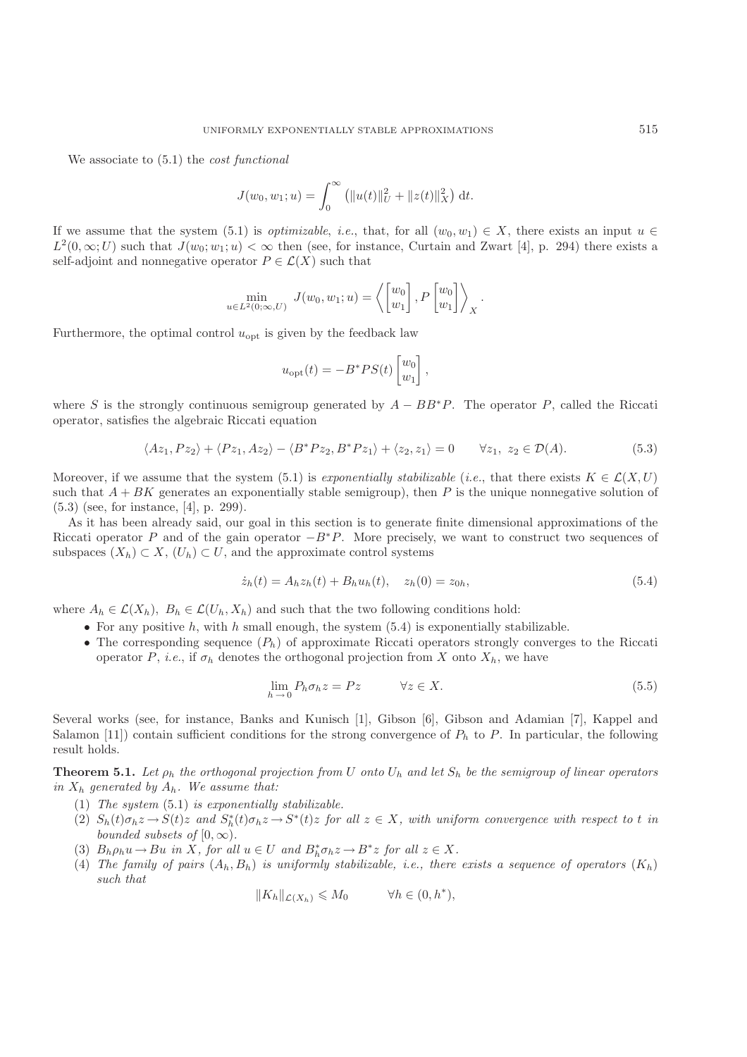We associate to (5.1) the *cost functional*

$$
J(w_0, w_1; u) = \int_0^\infty (||u(t)||_U^2 + ||z(t)||_X^2) dt.
$$

If we assume that the system (5.1) is *optimizable*, *i.e.*, that, for all  $(w_0, w_1) \in X$ , there exists an input  $u \in$  $L^2(0,\infty;U)$  such that  $J(w_0;w_1;u)<\infty$  then (see, for instance, Curtain and Zwart [4], p. 294) there exists a self-adjoint and nonnegative operator  $P \in \mathcal{L}(X)$  such that

$$
\min_{u \in L^2(0,\infty,U)} J(w_0, w_1; u) = \left\langle \begin{bmatrix} w_0 \\ w_1 \end{bmatrix}, P \begin{bmatrix} w_0 \\ w_1 \end{bmatrix} \right\rangle_X.
$$

Furthermore, the optimal control  $u_{opt}$  is given by the feedback law

$$
u_{\rm opt}(t) = -B^*PS(t)\begin{bmatrix} w_0 \\ w_1 \end{bmatrix},
$$

where S is the strongly continuous semigroup generated by  $A - BB^*P$ . The operator P, called the Riccati operator, satisfies the algebraic Riccati equation

$$
\langle Az_1, Pz_2 \rangle + \langle Pz_1, Az_2 \rangle - \langle B^* Pz_2, B^* Pz_1 \rangle + \langle z_2, z_1 \rangle = 0 \qquad \forall z_1, z_2 \in \mathcal{D}(A). \tag{5.3}
$$

Moreover, if we assume that the system (5.1) is *exponentially stabilizable* (*i.e.*, that there exists  $K \in \mathcal{L}(X, U)$ such that  $A + BK$  generates an exponentially stable semigroup), then P is the unique nonnegative solution of (5.3) (see, for instance, [4], p. 299).

As it has been already said, our goal in this section is to generate finite dimensional approximations of the Riccati operator P and of the gain operator  $-B^*P$ . More precisely, we want to construct two sequences of subspaces  $(X_h) \subset X$ ,  $(U_h) \subset U$ , and the approximate control systems

$$
\dot{z}_h(t) = A_h z_h(t) + B_h u_h(t), \quad z_h(0) = z_{0h},\tag{5.4}
$$

where  $A_h \in \mathcal{L}(X_h)$ ,  $B_h \in \mathcal{L}(U_h, X_h)$  and such that the two following conditions hold:

- For any positive  $h$ , with  $h$  small enough, the system (5.4) is exponentially stabilizable.
- The corresponding sequence  $(P_h)$  of approximate Riccati operators strongly converges to the Riccati operator P, *i.e.*, if  $\sigma_h$  denotes the orthogonal projection from X onto  $X_h$ , we have

$$
\lim_{h \to 0} P_h \sigma_h z = P z \qquad \forall z \in X. \tag{5.5}
$$

Several works (see, for instance, Banks and Kunisch [1], Gibson [6], Gibson and Adamian [7], Kappel and Salamon [11]) contain sufficient conditions for the strong convergence of  $P_h$  to P. In particular, the following result holds.

**Theorem 5.1.** Let  $\rho_h$  the orthogonal projection from U onto  $U_h$  and let  $S_h$  be the semigroup of linear operators *in* <sup>X</sup><sup>h</sup> *generated by* <sup>A</sup><sup>h</sup>*. We assume that:*

- (1) *The system* (5.1) *is exponentially stabilizable.*
- (2)  $S_h(t)\sigma_h z \to S(t)z$  and  $S_h^*(t)\sigma_h z \to S^*(t)z$  for all  $z \in X$ , with uniform convergence with respect to t in<br>hounded subsets of  $[0, \infty)$ *bounded subsets of*  $[0, \infty)$ *.*
- (3)  $B_h \rho_h u \to Bu$  *in* X, for all  $u \in U$  and  $B_h^* \sigma_h z \to B^* z$  for all  $z \in X$ .<br>(4) The family of nairs  $(A, B_1)$  is uniformly stabilizable i.e. there
- (4) *The family of pairs*  $(A_h, B_h)$  *is uniformly stabilizable, i.e., there exists a sequence of operators*  $(K_h)$ *such that*

$$
||K_h||_{\mathcal{L}(X_h)} \leq M_0 \qquad \forall h \in (0, h^*),
$$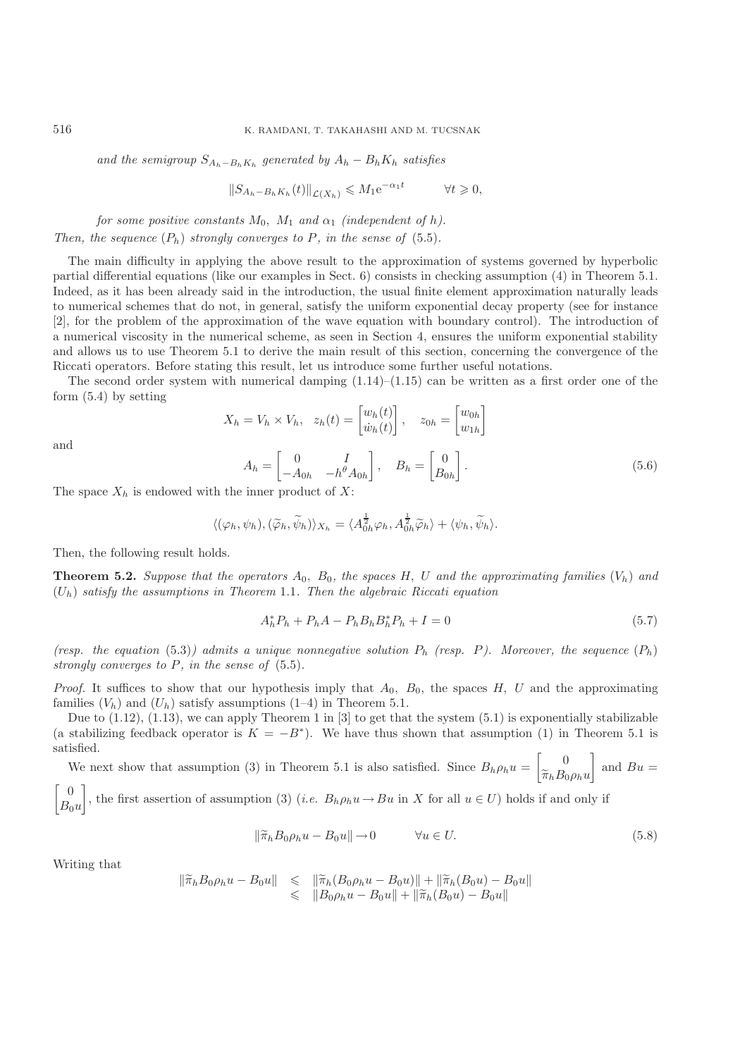and the semigroup  $S_{A_h-B_hK_h}$  generated by  $A_h - B_hK_h$  satisfies

$$
||S_{A_h-B_hK_h}(t)||_{\mathcal{L}(X_h)} \leqslant M_1 e^{-\alpha_1 t} \qquad \forall t \geqslant 0,
$$

*for some positive constants*  $M_0$ ,  $M_1$  *and*  $\alpha_1$  *(independent of h). Then, the sequence*  $(P_h)$  *strongly converges to*  $P$ *, in the sense of*  $(5.5)$ *.* 

The main difficulty in applying the above result to the approximation of systems governed by hyperbolic partial differential equations (like our examples in Sect. 6) consists in checking assumption (4) in Theorem 5.1. Indeed, as it has been already said in the introduction, the usual finite element approximation naturally leads to numerical schemes that do not, in general, satisfy the uniform exponential decay property (see for instance [2], for the problem of the approximation of the wave equation with boundary control). The introduction of a numerical viscosity in the numerical scheme, as seen in Section 4, ensures the uniform exponential stability and allows us to use Theorem 5.1 to derive the main result of this section, concerning the convergence of the Riccati operators. Before stating this result, let us introduce some further useful notations.

The second order system with numerical damping  $(1.14)$ – $(1.15)$  can be written as a first order one of the form (5.4) by setting

$$
X_h = V_h \times V_h, \quad z_h(t) = \begin{bmatrix} w_h(t) \\ \dot{w}_h(t) \end{bmatrix}, \quad z_{0h} = \begin{bmatrix} w_{0h} \\ w_{1h} \end{bmatrix}
$$

$$
A_h = \begin{bmatrix} 0 & I \\ -A_{0h} & -h^{\theta} A_{0h} \end{bmatrix}, \quad B_h = \begin{bmatrix} 0 \\ B_{0h} \end{bmatrix}.
$$
(5.6)

and

The space 
$$
X_h
$$
 is endowed with the inner product of  $X$ :

$$
\langle (\varphi_h, \psi_h), (\widetilde{\varphi}_h, \widetilde{\psi}_h) \rangle_{X_h} = \langle A_{0h}^{\frac{1}{2}} \varphi_h, A_{0h}^{\frac{1}{2}} \widetilde{\varphi}_h \rangle + \langle \psi_h, \widetilde{\psi}_h \rangle.
$$

Then, the following result holds.

**Theorem 5.2.** *Suppose that the operators*  $A_0$ ,  $B_0$ , the spaces H, U and the approximating families  $(V_h)$  and (U<sup>h</sup>) *satisfy the assumptions in Theorem* 1.1*. Then the algebraic Riccati equation*

$$
A_h^* P_h + P_h A - P_h B_h B_h^* P_h + I = 0 \tag{5.7}
$$

*(resp. the equation* (5.3)*) admits a unique nonnegative solution*  $P_h$  *(resp. P). Moreover, the sequence*  $(P_h)$ *strongly converges to* P*, in the sense of* (5.5)*.*

*Proof.* It suffices to show that our hypothesis imply that  $A_0$ ,  $B_0$ , the spaces H, U and the approximating families  $(V_h)$  and  $(U_h)$  satisfy assumptions  $(1-4)$  in Theorem 5.1.

Due to  $(1.12)$ ,  $(1.13)$ , we can apply Theorem 1 in [3] to get that the system  $(5.1)$  is exponentially stabilizable (a stabilizing feedback operator is  $K = -B^*$ ). We have thus shown that assumption (1) in Theorem 5.1 is satisfied.

We next show that assumption (3) in Theorem 5.1 is also satisfied. Since  $B_h \rho_h u = \begin{bmatrix} 0 \\ \widetilde{\pi}_h B_0 \end{bmatrix}$  $\pi_h$ D<sub>0</sub> $\rho_h u$  $\Big]$  and  $Bu =$ 

 $\begin{bmatrix} 0 \\ 0 \end{bmatrix}$  $B_0u$ , the first assertion of assumption (3) (*i.e.*  $B_h \rho_h u \to Bu$  in X for all  $u \in U$ ) holds if and only if

$$
\|\tilde{\pi}_h B_0 \rho_h u - B_0 u\| \to 0 \qquad \forall u \in U. \tag{5.8}
$$

Writing that

$$
\begin{aligned}\n\|\widetilde{\pi}_h B_0 \rho_h u - B_0 u\| &\leqslant \| \widetilde{\pi}_h (B_0 \rho_h u - B_0 u) \| + \| \widetilde{\pi}_h (B_0 u) - B_0 u \| \\
&\leqslant \| B_0 \rho_h u - B_0 u \| + \| \widetilde{\pi}_h (B_0 u) - B_0 u \|\n\end{aligned}
$$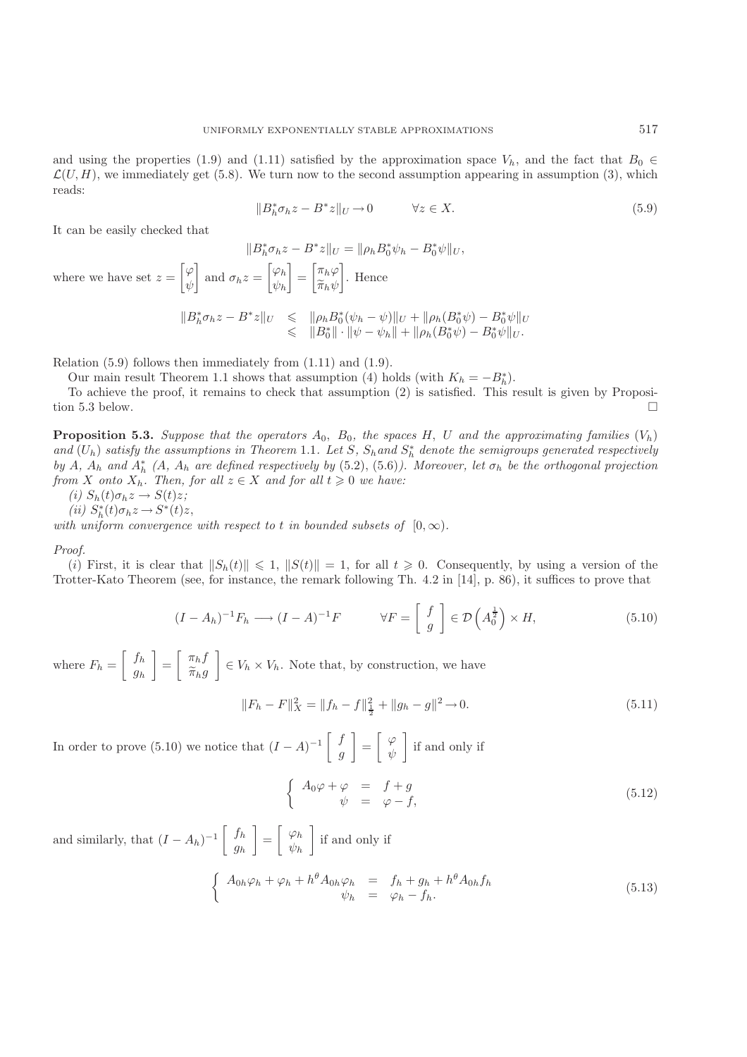and using the properties (1.9) and (1.11) satisfied by the approximation space  $V_h$ , and the fact that  $B_0 \in$  $\mathcal{L}(U, H)$ , we immediately get (5.8). We turn now to the second assumption appearing in assumption (3), which reads:

$$
||B_h^*\sigma_h z - B^*z||_U \to 0 \qquad \forall z \in X.
$$
\n(5.9)

It can be easily checked that

 $||B_h^* \sigma_h z - B^* z||_U = ||\rho_h B_0^* \psi_h - B_0^* \psi||_U,$ where we have set  $z = \left[ \right]$ ر<br>داد ψ and  $\sigma_h z = \begin{bmatrix} \varphi_h \\ \psi_h \end{bmatrix}$  $\psi_h$  $\left[ \begin{array}{c} \pi_h \varphi \\ \widetilde{\pi}_h \varphi \end{array} \right]$  $\pi_h \psi$  . Hence  $\|B_h^*\sigma_h z - B^*z\|_U \leq \| \rho_h B_0^*(\psi_h - \psi) \|_U + \| \rho_h (B_0^*\psi) - B_0^*\psi \|_U$ <br>  $\leq \|B_0^*\| \cdot \|\psi - \psi_h\| + \| \rho_h (B_0^*\psi) - B_0^*\psi \|_U$ .

Relation (5.9) follows then immediately from (1.11) and (1.9).

Our main result Theorem 1.1 shows that assumption (4) holds (with  $K_h = -B_h^*$ ).<br>To achieve the proof it remains to check that assumption (2) is satisfied. This r

To achieve the proof, it remains to check that assumption (2) is satisfied. This result is given by Proposition 5.3 below.

**Proposition 5.3.** *Suppose that the operators*  $A_0$ ,  $B_0$ , the spaces  $H$ ,  $U$  and the approximating families  $(V_h)$ *and*  $(U_h)$  *satisfy the assumptions in Theorem* 1.1*. Let*  $S$ *,*  $S_h$  *and*  $S_h^*$  *denote the semigroups generated respectively*<br>*hy*  $A$   $A$ , and  $A^*$   $(A$   $A$ , are defined respectively by  $(5, 2)$   $(5, 6)$ ) Moreover, *by* A,  $A_h$  and  $A_h^*$  (A,  $A_h$  are defined respectively by (5.2), (5.6)). Moreover, let  $\sigma_h$  be the orthogonal projection from *X* onto *X*. Then for all  $z \in X$  and for all  $t > 0$  we have: *from X onto*  $X_h$ *. Then, for all*  $z \in X$  *and for all*  $t \ge 0$  *we have:* 

(i) 
$$
S_h(t)\sigma_h z \rightarrow S(t)z;
$$
  
(ii)  $S^*(t)\sigma_t z \rightarrow S^*(t)$ 

(ii) 
$$
S_h^*(t)\sigma_h z \rightarrow S^*(t)z
$$
,  
the uniform convergence

*with uniform convergence with respect to* t *in bounded subsets of*  $[0, \infty)$ *.* 

*Proof.*

(i) First, it is clear that  $||S_h(t)|| \le 1$ ,  $||S(t)|| = 1$ , for all  $t \ge 0$ . Consequently, by using a version of the other-Kato Theorem (see for instance the remark following Th 4.2 in [14], p. 86) it suffices to prove that Trotter-Kato Theorem (see, for instance, the remark following Th. 4.2 in [14], p. 86), it suffices to prove that

$$
(I - A_h)^{-1} F_h \longrightarrow (I - A)^{-1} F \qquad \forall F = \left[ \begin{array}{c} f \\ g \end{array} \right] \in \mathcal{D} \left( A_0^{\frac{1}{2}} \right) \times H,
$$
\n
$$
(5.10)
$$

where  $F_h = \begin{bmatrix} f_h \\ g_h \end{bmatrix}$  $y_h$  $\left[\begin{array}{c} \pi_h f \\ \widetilde{\pi}_h g \end{array}\right]$  $\pi_h g$  $\Big] \in V_h \times V_h$ . Note that, by construction, we have

$$
||F_h - F||_X^2 = ||f_h - f||_2^2 + ||g_h - g||^2 \to 0.
$$
\n(5.11)

In order to prove (5.10) we notice that  $(I - A)^{-1} \begin{bmatrix} f \\ g \end{bmatrix}$ g  $=\begin{bmatrix} \varphi \\ y, \end{bmatrix}$ ψ if and only if

$$
\begin{cases}\nA_0 \varphi + \varphi &= f + g \\
\psi &= \varphi - f,\n\end{cases}
$$
\n(5.12)

and similarly, that  $(I - A_h)^{-1} \begin{bmatrix} f_h \\ g_h \end{bmatrix}$ gh  $=\begin{bmatrix} \varphi_h \\ \varphi_h \end{bmatrix}$  $\psi_h$ if and only if

$$
\begin{cases}\nA_{0h}\varphi_h + \varphi_h + h^{\theta}A_{0h}\varphi_h = f_h + g_h + h^{\theta}A_{0h}f_h \\
\psi_h = \varphi_h - f_h.\n\end{cases} \tag{5.13}
$$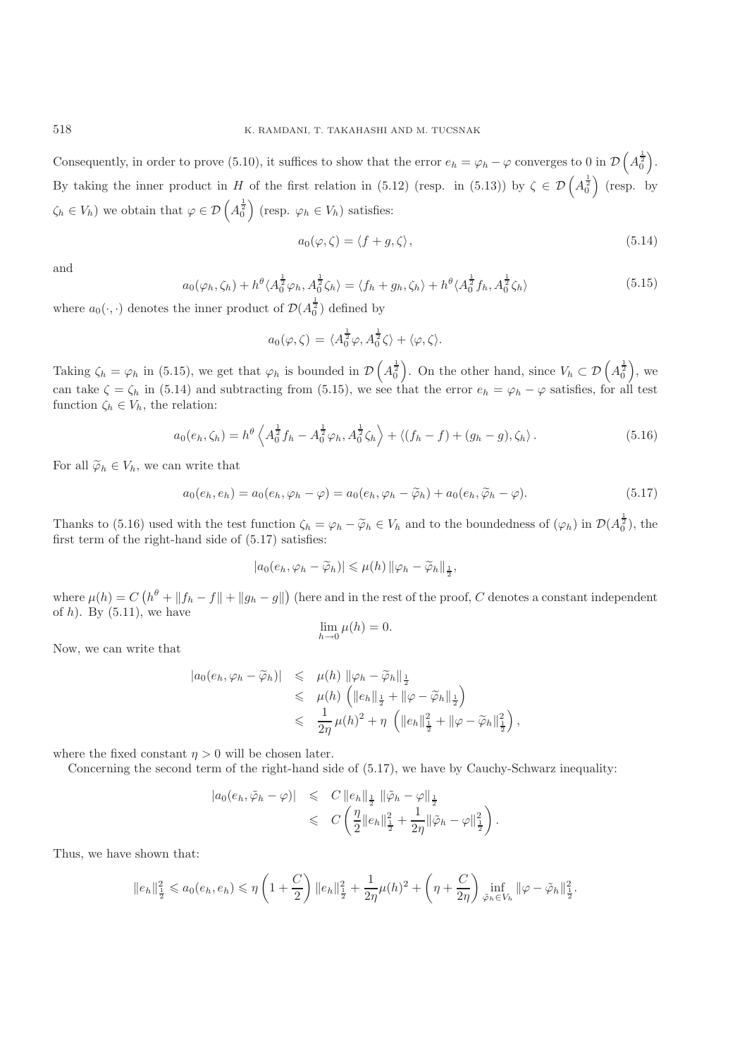Consequently, in order to prove (5.10), it suffices to show that the error  $e_h = \varphi_h - \varphi$  converges to 0 in  $\mathcal{D}\left(A_0^{\frac{1}{2}}\right)$ . By taking the inner product in H of the first relation in (5.12) (resp. in (5.13)) by  $\zeta \in \mathcal{D}\left(A_0^{\frac{1}{2}}\right)$  (resp. by  $\zeta_h \in V_h$ ) we obtain that  $\varphi \in \mathcal{D}\left(A_0^{\frac{1}{2}}\right)$  (resp.  $\varphi_h \in V_h$ ) satisfies:

$$
a_0(\varphi, \zeta) = \langle f + g, \zeta \rangle, \tag{5.14}
$$

,

and

$$
a_0(\varphi_h, \zeta_h) + h^{\theta} \langle A_0^{\frac{1}{2}} \varphi_h, A_0^{\frac{1}{2}} \zeta_h \rangle = \langle f_h + g_h, \zeta_h \rangle + h^{\theta} \langle A_0^{\frac{1}{2}} f_h, A_0^{\frac{1}{2}} \zeta_h \rangle \tag{5.15}
$$

where  $a_0(\cdot, \cdot)$  denotes the inner product of  $\mathcal{D}(A_0^{\frac{1}{2}})$  defined by

$$
a_0(\varphi,\zeta) = \langle A_0^{\frac{1}{2}}\varphi, A_0^{\frac{1}{2}}\zeta \rangle + \langle \varphi, \zeta \rangle.
$$

Taking  $\zeta_h = \varphi_h$  in (5.15), we get that  $\varphi_h$  is bounded in  $\mathcal{D}\left(A_0^{\frac{1}{2}}\right)$ . On the other hand, since  $V_h \subset \mathcal{D}\left(A_0^{\frac{1}{2}}\right)$ , we can take  $\zeta = \zeta_h$  in (5.14) and subtracting from (5.15), we see that the error  $e_h = \varphi_h - \varphi$  satisfies, for all test<br>function  $\zeta_h \in V$  the relation: function  $\zeta_h \in V_h$ , the relation:

$$
a_0(e_h, \zeta_h) = h^{\theta} \left\langle A_0^{\frac{1}{2}} f_h - A_0^{\frac{1}{2}} \varphi_h, A_0^{\frac{1}{2}} \zeta_h \right\rangle + \left\langle (f_h - f) + (g_h - g), \zeta_h \right\rangle. \tag{5.16}
$$

For all  $\widetilde{\varphi}_h \in V_h$ , we can write that

$$
a_0(e_h, e_h) = a_0(e_h, \varphi_h - \varphi) = a_0(e_h, \varphi_h - \widetilde{\varphi}_h) + a_0(e_h, \widetilde{\varphi}_h - \varphi).
$$
\n(5.17)

Thanks to (5.16) used with the test function  $\zeta_h = \varphi_h - \widetilde{\varphi}_h \in V_h$  and to the boundedness of  $(\varphi_h)$  in  $\mathcal{D}(A_0^{\frac{1}{2}})$ , the first term of the right-hand side of (5.17) satisfies: first term of the right-hand side of (5.17) satisfies:

$$
|a_0(e_h, \varphi_h - \widetilde{\varphi}_h)| \leqslant \mu(h) \|\varphi_h - \widetilde{\varphi}_h\|_{\frac{1}{2}},
$$

where  $\mu(h) = C\left(h^{\theta} + ||f_h - f|| + ||g_h - g||\right)$  (here and in the rest of the proof, C denotes a constant independent of b). By (5.11), we have of h). By  $(5.11)$ , we have

$$
\lim_{h \to 0} \mu(h) = 0.
$$

Now, we can write that

$$
|a_0(e_h, \varphi_h - \widetilde{\varphi}_h)| \leq \mu(h) \| \varphi_h - \widetilde{\varphi}_h \|_{\frac{1}{2}}
$$
  
\n
$$
\leq \mu(h) \left( \|e_h\|_{\frac{1}{2}} + \|\varphi - \widetilde{\varphi}_h\|_{\frac{1}{2}} \right)
$$
  
\n
$$
\leq \frac{1}{2\eta} \mu(h)^2 + \eta \left( \|e_h\|_{\frac{1}{2}}^2 + \|\varphi - \widetilde{\varphi}_h\|_{\frac{1}{2}}^2 \right)
$$

where the fixed constant  $\eta > 0$  will be chosen later.

Concerning the second term of the right-hand side of (5.17), we have by Cauchy-Schwarz inequality:

$$
|a_0(e_h, \tilde{\varphi}_h - \varphi)| \leq C ||e_h||_{\frac{1}{2}} ||\tilde{\varphi}_h - \varphi||_{\frac{1}{2}}\leq C \left( \frac{\eta}{2} ||e_h||_{\frac{1}{2}}^2 + \frac{1}{2\eta} ||\tilde{\varphi}_h - \varphi||_{\frac{1}{2}}^2 \right).
$$

Thus, we have shown that:

$$
||e_h||_{\frac{1}{2}}^2 \leq a_0(e_h, e_h) \leq \eta \left(1 + \frac{C}{2}\right) ||e_h||_{\frac{1}{2}}^2 + \frac{1}{2\eta} \mu(h)^2 + \left(\eta + \frac{C}{2\eta}\right) \inf_{\tilde{\varphi}_h \in V_h} ||\varphi - \tilde{\varphi}_h||_{\frac{1}{2}}^2.
$$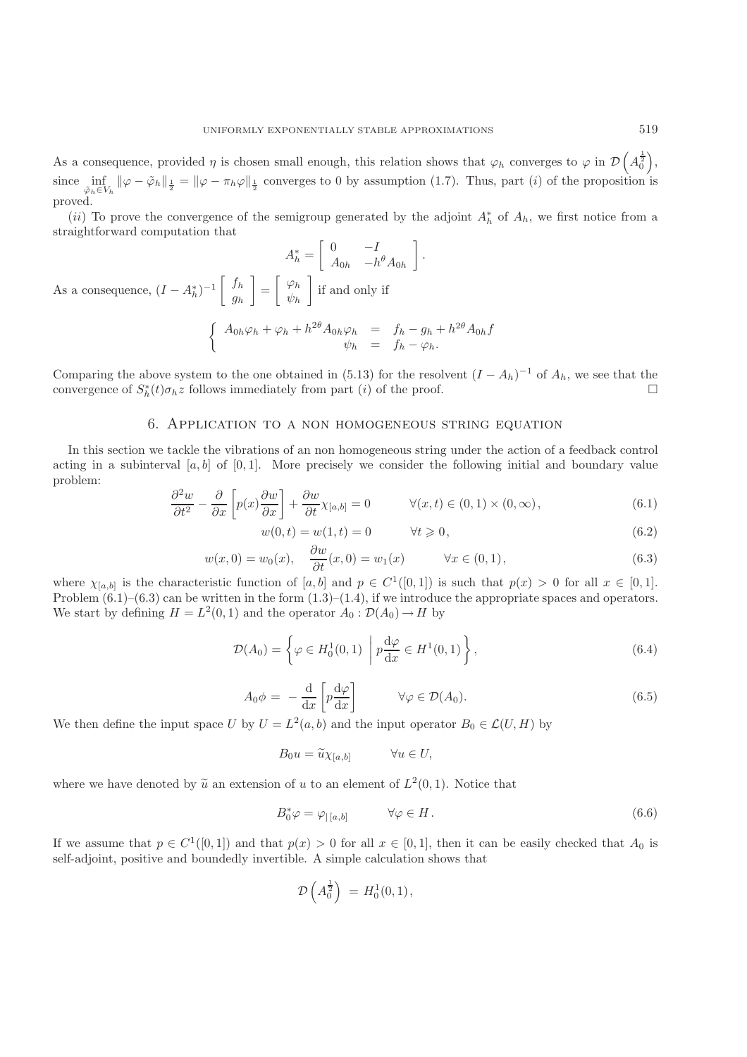As a consequence, provided  $\eta$  is chosen small enough, this relation shows that  $\varphi_h$  converges to  $\varphi$  in  $\mathcal{D}\left(\mathcal{A}_0^2\right)$  $\left(A_0^{\frac{1}{2}}\right),$ since  $\inf_{\tilde{\varphi}_h \in V_h} ||\varphi - \tilde{\varphi}_h||_{\frac{1}{2}} = ||\varphi - \pi_h \varphi||_{\frac{1}{2}}$  converges to 0 by assumption (1.7). Thus, part (*i*) of the proposition is proved.

(ii) To prove the convergence of the semigroup generated by the adjoint  $A_h^*$  of  $A_h$ , we first notice from a sightforward computation that straightforward computation that  $\begin{bmatrix} 0 & & I \end{bmatrix}$  $\overline{1}$ 

$$
A_h^* = \begin{bmatrix} 0 & -I \\ A_{0h} & -h^{\theta}A_{0h} \end{bmatrix}.
$$
  
As a consequence,  $(I - A_h^*)^{-1} \begin{bmatrix} f_h \\ g_h \end{bmatrix} = \begin{bmatrix} \varphi_h \\ \psi_h \end{bmatrix}$  if and only if  

$$
\begin{cases} A_{0h}\varphi_h + \varphi_h + h^{2\theta}A_{0h}\varphi_h = f_h - g_h + h^{2\theta}A_{0h}f \\ \psi_h = f_h - \varphi_h. \end{cases}
$$

Comparing the above system to the one obtained in (5.13) for the resolvent  $(I - A_h)^{-1}$  of  $A_h$ , we see that the convergence of  $S_t^*(t)\sigma_h z$  follows immediately from part *(i)* of the proof. convergence of  $S_h^*(t)\sigma_h z$  follows immediately from part (*i*) of the proof.

# 6. Application to a non homogeneous string equation

In this section we tackle the vibrations of an non homogeneous string under the action of a feedback control acting in a subinterval  $[a, b]$  of  $[0, 1]$ . More precisely we consider the following initial and boundary value problem:

$$
\frac{\partial^2 w}{\partial t^2} - \frac{\partial}{\partial x} \left[ p(x) \frac{\partial w}{\partial x} \right] + \frac{\partial w}{\partial t} \chi_{[a,b]} = 0 \qquad \forall (x, t) \in (0, 1) \times (0, \infty), \tag{6.1}
$$

$$
w(0, t) = w(1, t) = 0 \t\t \forall t \geq 0,
$$
\t(6.2)

$$
w(x,0) = w_0(x), \quad \frac{\partial w}{\partial t}(x,0) = w_1(x) \qquad \forall x \in (0,1), \tag{6.3}
$$
  
write function of [a, b] and  $n \in C^1([0,1])$  is such that  $n(x) > 0$  for all  $x \in [0,1]$ 

where  $\chi_{[a,b]}$  is the characteristic function of  $[a,b]$  and  $p \in C^1([0,1])$  is such that  $p(x) > 0$  for all  $x \in [0,1]$ .<br>Problem (6.1)–(6.3) can be written in the form (1.3)–(1.4) if we introduce the appropriate spaces and ope Problem  $(6.1)$ – $(6.3)$  can be written in the form  $(1.3)$ – $(1.4)$ , if we introduce the appropriate spaces and operators. We start by defining  $H = L^2(0, 1)$  and the operator  $A_0 : \mathcal{D}(A_0) \to H$  by

$$
\mathcal{D}(A_0) = \left\{ \varphi \in H_0^1(0,1) \middle| p \frac{\mathrm{d}\varphi}{\mathrm{d}x} \in H^1(0,1) \right\},\tag{6.4}
$$

$$
A_0 \phi = -\frac{d}{dx} \left[ p \frac{d\varphi}{dx} \right] \qquad \forall \varphi \in \mathcal{D}(A_0).
$$
\n(6.5)

We then define the input space U by  $U = L^2(a, b)$  and the input operator  $B_0 \in \mathcal{L}(U, H)$  by

$$
B_0 u = \widetilde{u}\chi_{[a,b]} \qquad \forall u \in U,
$$

where we have denoted by  $\tilde{u}$  an extension of u to an element of  $L^2(0,1)$ . Notice that

$$
B_0^* \varphi = \varphi_{|[a,b]} \qquad \forall \varphi \in H. \tag{6.6}
$$

If we assume that  $p \in C^1([0,1])$  and that  $p(x) > 0$  for all  $x \in [0,1]$ , then it can be easily checked that  $A_0$  is self-adjoint, positive and boundedly invertible. A simple calculation shows that

$$
\mathcal{D}\left(A_0^{\frac{1}{2}}\right) = H_0^1(0,1),
$$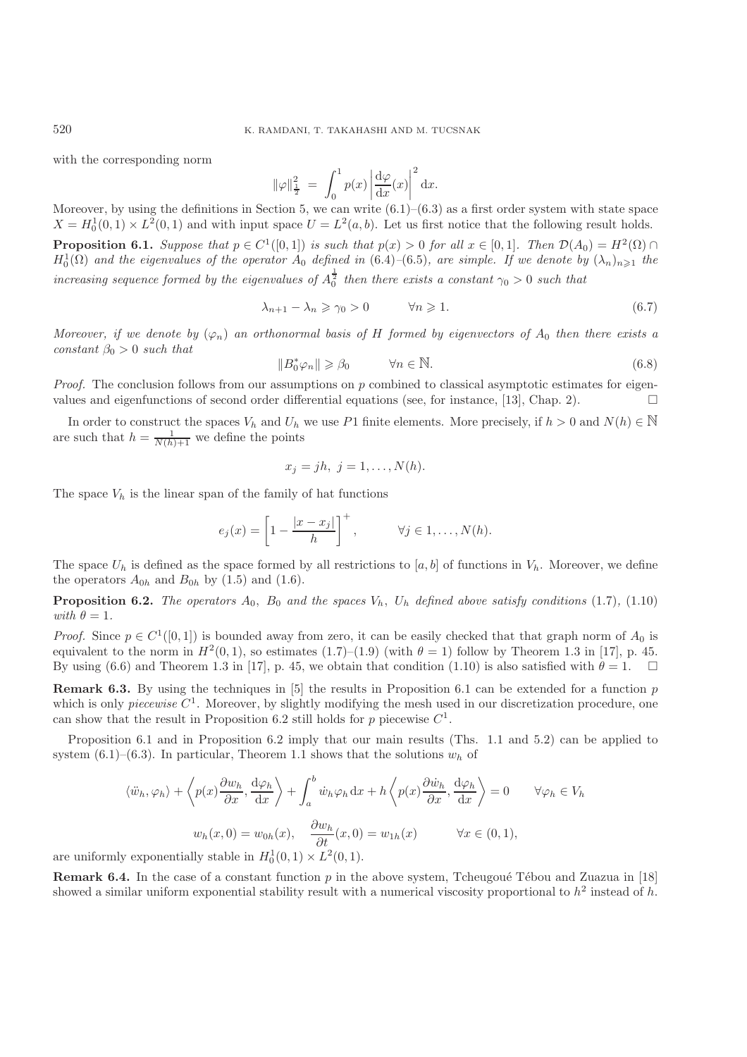with the corresponding norm

$$
\|\varphi\|_{\frac{1}{2}}^{2} = \int_{0}^{1} p(x) \left| \frac{d\varphi}{dx}(x) \right|^{2} dx.
$$

Moreover, by using the definitions in Section 5, we can write  $(6.1)$ – $(6.3)$  as a first order system with state space  $X = H_0^1(0, 1) \times L^2(0, 1)$  and with input space  $U = L^2(a, b)$ . Let us first notice that the following result holds.

**Proposition 6.1.** *Suppose that*  $p \in C^1([0,1])$  *is such that*  $p(x) > 0$  *for all*  $x \in [0,1]$ *. Then*  $\mathcal{D}(A_0) = H^2(\Omega) \cap H^1(\Omega)$  and the eigenvalues of the operator  $A_0$  defined in  $(6,1)$  (6.5), are simple. If we denote  $H_0^1(\Omega)$  and the eigenvalues of the operator  $A_0$  defined in (6.4)–(6.5)*,* are simple. If we denote by  $(\lambda_n)_{n\geqslant1}$  the *increasing sequence formed by the eigenvalues of*  $A_0^{\frac{1}{2}}$  *then there exists a constant*  $\gamma_0 > 0$  *such that* 

$$
\lambda_{n+1} - \lambda_n \ge \gamma_0 > 0 \qquad \forall n \ge 1. \tag{6.7}
$$

*Moreover, if we denote by*  $(\varphi_n)$  *an orthonormal basis of* H *formed by eigenvectors of*  $A_0$  *then there exists a constant*  $\beta_0 > 0$  *such that* 

$$
||B_0^* \varphi_n|| \geq \beta_0 \qquad \forall n \in \mathbb{N}.
$$
 (6.8)

*Proof.* The conclusion follows from our assumptions on p combined to classical asymptotic estimates for eigenvalues and eigenfunctions of second order differential equations (see for instance [13] Chan 2) values and eigenfunctions of second order differential equations (see, for instance, [13], Chap. 2).

In order to construct the spaces  $V_h$  and  $U_h$  we use P1 finite elements. More precisely, if  $h > 0$  and  $N(h) \in \mathbb{N}$ are such that  $h = \frac{1}{N(h)+1}$  we define the points

$$
x_j = jh, \ j = 1, \ldots, N(h).
$$

The space  $V_h$  is the linear span of the family of hat functions

$$
e_j(x) = \left[1 - \frac{|x - x_j|}{h}\right]^+, \qquad \forall j \in 1, \dots, N(h).
$$

The space  $U_h$  is defined as the space formed by all restrictions to [a, b] of functions in  $V_h$ . Moreover, we define the operators  $A_{0h}$  and  $B_{0h}$  by (1.5) and (1.6).

**Proposition 6.2.** *The operators*  $A_0$ ,  $B_0$  *and the spaces*  $V_h$ ,  $U_h$  *defined above satisfy conditions* (1.7)*,* (1.10) *with*  $\theta = 1$ *.* 

*Proof.* Since  $p \in C^1([0,1])$  is bounded away from zero, it can be easily checked that that graph norm of  $A_0$  is equivalent to the norm in  $H^2(0,1)$ , so estimates (1.7)–(1.9) (with  $\theta = 1$ ) follow by Theorem 1.3 in [17], p. 45. By using (6.6) and Theorem 1.3 in [17], p. 45, we obtain that condition (1.10) is also satisfied with  $\theta = 1$ .

**Remark 6.3.** By using the techniques in [5] the results in Proposition 6.1 can be extended for a function p which is only *piecewise*  $C^1$ . Moreover, by slightly modifying the mesh used in our discretization procedure, one can show that the result in Proposition 6.2 still holds for p piecewise  $C^1$ .

Proposition 6.1 and in Proposition 6.2 imply that our main results (Ths. 1.1 and 5.2) can be applied to system (6.1)–(6.3). In particular, Theorem 1.1 shows that the solutions  $w<sub>h</sub>$  of

$$
\langle \ddot{w}_h, \varphi_h \rangle + \left\langle p(x) \frac{\partial w_h}{\partial x}, \frac{\mathrm{d}\varphi_h}{\mathrm{d}x} \right\rangle + \int_a^b \dot{w}_h \varphi_h \, \mathrm{d}x + h \left\langle p(x) \frac{\partial \dot{w}_h}{\partial x}, \frac{\mathrm{d}\varphi_h}{\mathrm{d}x} \right\rangle = 0 \qquad \forall \varphi_h \in V_h
$$
  

$$
w_h(x, 0) = w_{0h}(x), \qquad \frac{\partial w_h}{\partial t}(x, 0) = w_{1h}(x) \qquad \forall x \in (0, 1),
$$
  
*y* exponentially stable in  $H^1_x(0, 1) \times L^2(0, 1)$ 

are uniformly exponentially stable in  $H_0^1(0,1) \times L^2(0,1)$ .

**Remark 6.4.** In the case of a constant function p in the above system, Tcheugoué Tébou and Zuazua in [18] showed a similar uniform exponential stability result with a numerical viscosity proportional to  $h^2$  instead of h.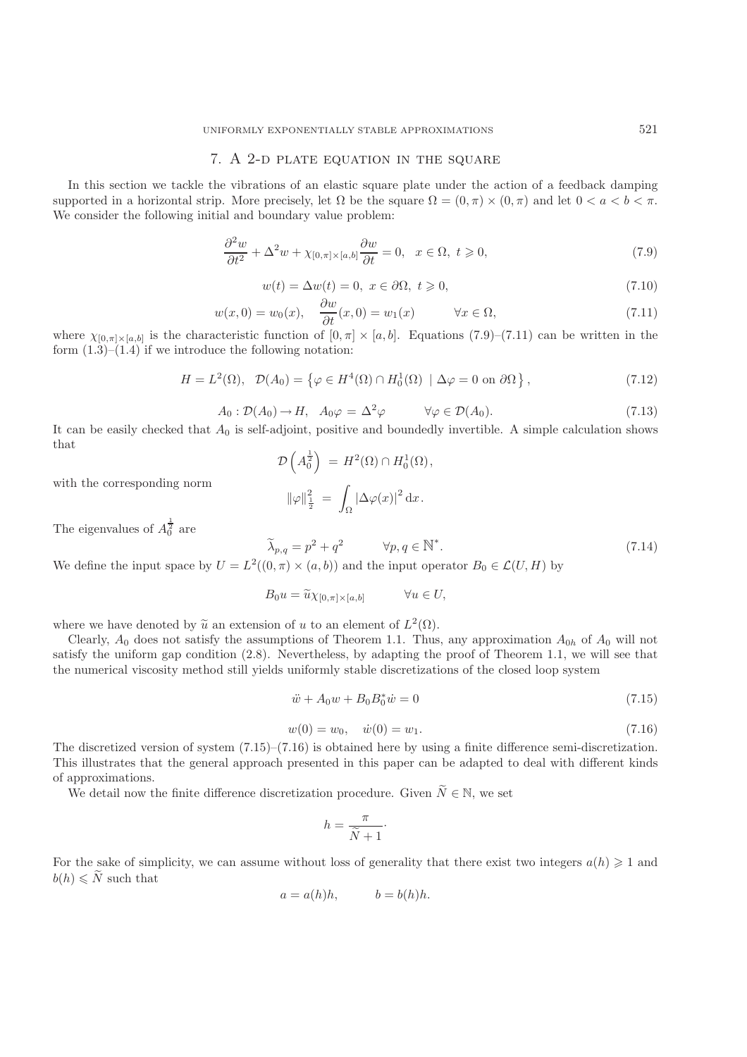## 7. A 2-d plate equation in the square

In this section we tackle the vibrations of an elastic square plate under the action of a feedback damping supported in a horizontal strip. More precisely, let  $\Omega$  be the square  $\Omega = (0, \pi) \times (0, \pi)$  and let  $0 < a < b < \pi$ . We consider the following initial and boundary value problem:

$$
\frac{\partial^2 w}{\partial t^2} + \Delta^2 w + \chi_{[0,\pi] \times [a,b]} \frac{\partial w}{\partial t} = 0, \quad x \in \Omega, \ t \geqslant 0,
$$
\n
$$
(7.9)
$$

$$
w(t) = \Delta w(t) = 0, \ x \in \partial\Omega, \ t \geqslant 0,
$$
\n<sup>(7.10)</sup>

$$
w(x,0) = w_0(x), \quad \frac{\partial w}{\partial t}(x,0) = w_1(x) \qquad \forall x \in \Omega,
$$
\n
$$
\text{aeteristic function of } [0, \pi] \times [a, b] \quad \text{Equations (7.9)}-(7.11) \text{ can be written in the}
$$

where  $\chi_{[0,\pi]\times[a,b]}$  is the characteristic function of  $[0,\pi]\times[a,b]$ . Equations  $(7.9)-(7.11)$  can be written in the form  $(1,3)-(1,4)$  if we introduce the following notation: form  $(1.\overline{3})$ – $(1.\overline{4})$  if we introduce the following notation:

$$
H = L^{2}(\Omega), \quad \mathcal{D}(A_{0}) = \left\{ \varphi \in H^{4}(\Omega) \cap H_{0}^{1}(\Omega) \mid \Delta \varphi = 0 \text{ on } \partial \Omega \right\},\tag{7.12}
$$

$$
A_0: \mathcal{D}(A_0) \to H, \quad A_0 \varphi = \Delta^2 \varphi \qquad \forall \varphi \in \mathcal{D}(A_0). \tag{7.13}
$$

It can be easily checked that  $A_0$  is self-adjoint, positive and boundedly invertible. A simple calculation shows<br>that that

$$
\mathcal{D}\left(A_0^{\frac{1}{2}}\right) = H^2(\Omega) \cap H_0^1(\Omega),
$$
  

$$
\|\varphi\|_{\frac{1}{2}}^2 = \int_{\Omega} |\Delta \varphi(x)|^2 dx.
$$

with the corresponding norm

The eigenvalues of  $A_0^{\frac{1}{2}}$  are

$$
\widetilde{\lambda}_{p,q} = p^2 + q^2 \qquad \forall p, q \in \mathbb{N}^*.
$$
\n
$$
\text{ce by } U = L^2((0, \pi) \times (a, b)) \text{ and the input operator } B_0 \in \mathcal{L}(U, H) \text{ by}
$$
\n
$$
\tag{7.14}
$$

We define the input space by  $U = L^2((0, \pi) \times (a, b))$  and the input operator  $B_0 \in \mathcal{L}(U, H)$  by

$$
B_0 u = \widetilde{u}\chi_{[0,\pi] \times [a,b]} \qquad \forall u \in U,
$$

where we have denoted by  $\tilde{u}$  an extension of u to an element of  $L^2(\Omega)$ .

Clearly,  $A_0$  does not satisfy the assumptions of Theorem 1.1. Thus, any approximation  $A_{0h}$  of  $A_0$  will not satisfy the uniform gap condition (2.8). Nevertheless, by adapting the proof of Theorem 1.1, we will see that the numerical viscosity method still yields uniformly stable discretizations of the closed loop system

$$
\ddot{w} + A_0 w + B_0 B_0^* \dot{w} = 0 \tag{7.15}
$$

$$
w(0) = w_0, \quad \dot{w}(0) = w_1. \tag{7.16}
$$

 $w(0) = w_0, \quad \dot{w}(0) = w_1.$ <br>The discretized version of system  $(7.15)$ – $(7.16)$  is obtained here by using a finite difference semi-discretization. This illustrates that the general approach presented in this paper can be adapted to deal with different kinds of approximations.

We detail now the finite difference discretization procedure. Given  $\widetilde{N} \in \mathbb{N}$ , we set

$$
h = \frac{\pi}{\tilde{N} + 1} \cdot
$$

For the sake of simplicity, we can assume without loss of generality that there exist two integers  $a(h) \geq 1$  and  $b(h) \leq N$  such that

$$
a = a(h)h, \qquad b = b(h)h.
$$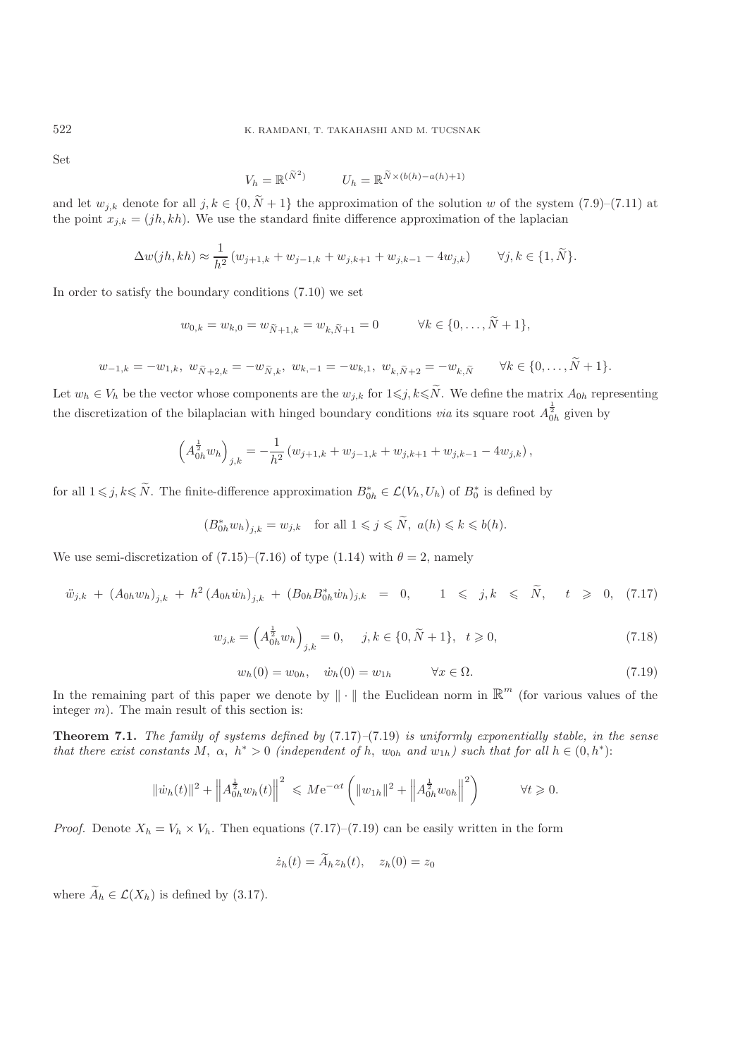Set

$$
V_h = \mathbb{R}^{(\tilde{N}^2)} \qquad \qquad U_h = \mathbb{R}^{\tilde{N} \times (b(h) - a(h) + 1)}
$$

and let  $w_{j,k}$  denote for all  $j, k \in \{0, N+1\}$  the approximation of the solution w of the system  $(7.9)$ – $(7.11)$  at the point  $x_{j,k} = (ib, kh)$ . We use the standard finite difference approximation of the laplacian the point  $x_{j,k} = (jh, kh)$ . We use the standard finite difference approximation of the laplacian

$$
\Delta w(jh,kh) \approx \frac{1}{h^2} (w_{j+1,k} + w_{j-1,k} + w_{j,k+1} + w_{j,k-1} - 4w_{j,k}) \qquad \forall j,k \in \{1,\tilde{N}\}.
$$

In order to satisfy the boundary conditions (7.10) we set

$$
w_{0,k} = w_{k,0} = w_{\tilde{N}+1,k} = w_{k,\tilde{N}+1} = 0
$$
  $\forall k \in \{0, ..., N+1\},$ 

$$
w_{-1,k} = -w_{1,k}, \ w_{\tilde{N}+2,k} = -w_{\tilde{N},k}, \ w_{k,-1} = -w_{k,1}, \ w_{k,\tilde{N}+2} = -w_{k,\tilde{N}} \qquad \forall k \in \{0, \dots, N+1\}.
$$

Let  $w_h \in V_h$  be the vector whose components are the  $w_{j,k}$  for  $1 \leq j, k \leq N$ . We define the matrix  $A_{0h}$  representing the discretization of the bilaplacian with hinged boundary conditions *via* its square root  $A_{0h}^{\frac{1}{2}}$  given by

$$
\left(A_{0h}^{\frac{1}{2}}w_h\right)_{j,k} = -\frac{1}{h^2}\left(w_{j+1,k} + w_{j-1,k} + w_{j,k+1} + w_{j,k-1} - 4w_{j,k}\right),\,
$$

for all  $1 \le j, k \le \tilde{N}$ . The finite-difference approximation  $B_{0h}^* \in \mathcal{L}(V_h, U_h)$  of  $B_0^*$  is defined by

$$
(B_{0h}^* w_h)_{j,k} = w_{j,k}
$$
 for all  $1 \le j \le \tilde{N}$ ,  $a(h) \le k \le b(h)$ .

We use semi-discretization of (7.15)–(7.16) of type (1.14) with  $\theta = 2$ , namely

$$
\ddot{w}_{j,k} + (A_{0h}w_h)_{j,k} + h^2 (A_{0h}\dot{w}_h)_{j,k} + (B_{0h}B_{0h}^*\dot{w}_h)_{j,k} = 0, \qquad 1 \leqslant j,k \leqslant \tilde{N}, \qquad t \geqslant 0, \quad (7.17)
$$

$$
w_{j,k} = \left(A_{0h}^{\frac{1}{2}} w_h\right)_{j,k} = 0, \quad j,k \in \{0,\tilde{N}+1\}, \quad t \geqslant 0,
$$
\n
$$
(7.18)
$$

$$
w_h(0) = w_{0h}, \quad \dot{w}_h(0) = w_{1h} \qquad \forall x \in \Omega.
$$
\n
$$
(7.19)
$$

In the remaining part of this paper we denote by  $\|\cdot\|$  the Euclidean norm in  $\mathbb{R}^m$  (for various values of the integer  $m$ ). The main result of this section is:

**Theorem 7.1.** *The family of systems defined by* (7.17)*–*(7.19) *is uniformly exponentially stable, in the sense that there exist constants* M,  $\alpha$ ,  $h^* > 0$  *(independent of* h,  $w_{0h}$  *and*  $w_{1h}$ *) such that for all*  $h \in (0, h^*)$ :

$$
\|\dot{w}_h(t)\|^2 + \left\|A_{0h}^{\frac{1}{2}}w_h(t)\right\|^2 \leqslant M e^{-\alpha t} \left(\|w_{1h}\|^2 + \left\|A_{0h}^{\frac{1}{2}}w_{0h}\right\|^2\right) \qquad \forall t \geqslant 0.
$$

*Proof.* Denote  $X_h = V_h \times V_h$ . Then equations (7.17)–(7.19) can be easily written in the form

$$
\dot{z}_h(t) = \tilde{A}_h z_h(t), \quad z_h(0) = z_0
$$

where  $\widetilde{A}_h \in \mathcal{L}(X_h)$  is defined by (3.17).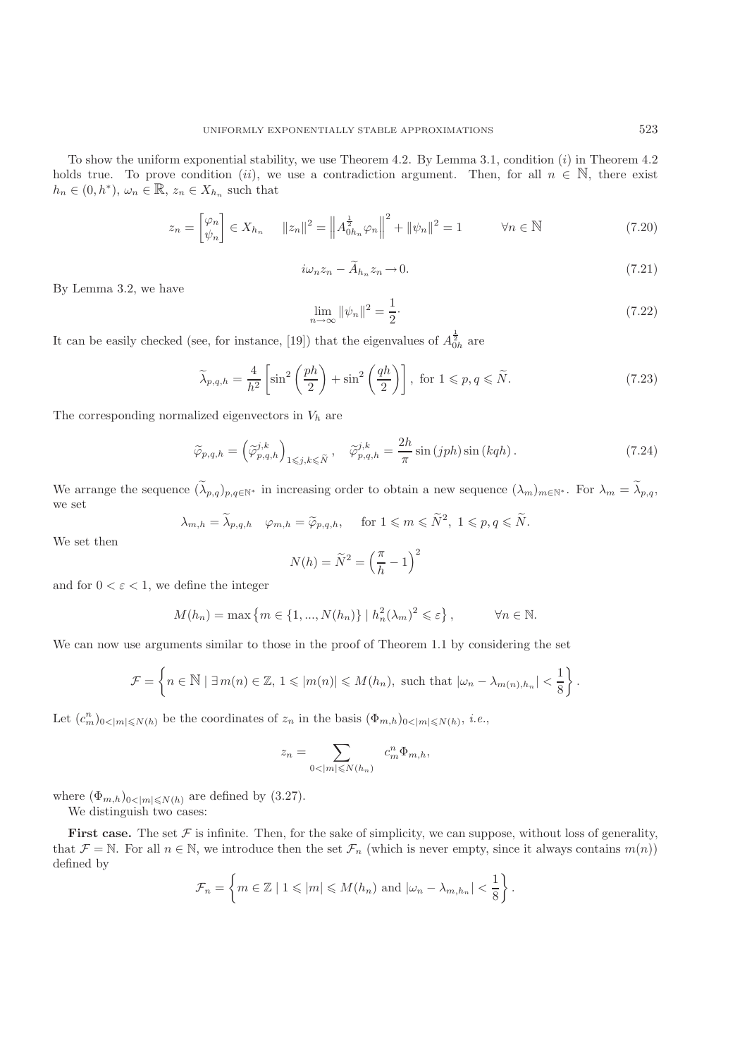To show the uniform exponential stability, we use Theorem 4.2. By Lemma 3.1, condition  $(i)$  in Theorem 4.2 holds true. To prove condition (ii), we use a contradiction argument. Then, for all  $n \in \mathbb{N}$ , there exist  $h_n \in (0, h^*), \omega_n \in \mathbb{R}, z_n \in X_{h_n}$  such that

$$
z_n = \begin{bmatrix} \varphi_n \\ \psi_n \end{bmatrix} \in X_{h_n} \qquad ||z_n||^2 = \left\| A_{0h_n}^{\frac{1}{2}} \varphi_n \right\|^2 + \|\psi_n\|^2 = 1 \qquad \forall n \in \mathbb{N} \tag{7.20}
$$

$$
i\omega_n z_n - \widetilde{A}_{h_n} z_n \to 0. \tag{7.21}
$$

By Lemma 3.2, we have

$$
\lim_{n \to \infty} \|\psi_n\|^2 = \frac{1}{2}.
$$
\n(7.22)

It can be easily checked (see, for instance, [19]) that the eigenvalues of  $A_{0h}^{\frac{1}{2}}$  are

$$
\widetilde{\lambda}_{p,q,h} = \frac{4}{h^2} \left[ \sin^2 \left( \frac{ph}{2} \right) + \sin^2 \left( \frac{qh}{2} \right) \right], \text{ for } 1 \leqslant p,q \leqslant \widetilde{N}.
$$
\n(7.23)

The corresponding normalized eigenvectors in  $V_h$  are

$$
\widetilde{\varphi}_{p,q,h} = \left(\widetilde{\varphi}_{p,q,h}^{j,k}\right)_{1 \leqslant j,k \leqslant \widetilde{N}}, \quad \widetilde{\varphi}_{p,q,h}^{j,k} = \frac{2h}{\pi} \sin\left(jph\right) \sin\left(kqh\right). \tag{7.24}
$$

We arrange the sequence  $(\tilde{\lambda}_{p,q})_{p,q\in\mathbb{N}^*}$  in increasing order to obtain a new sequence  $(\lambda_m)_{m\in\mathbb{N}^*}$ . For  $\lambda_m = \tilde{\lambda}_{p,q}$ , we set

$$
\lambda_{m,h} = \tilde{\lambda}_{p,q,h} \quad \varphi_{m,h} = \tilde{\varphi}_{p,q,h}, \quad \text{ for } 1 \leqslant m \leqslant \tilde{N}^2, \ 1 \leqslant p,q \leqslant \tilde{N}.
$$

We set then

$$
N(h) = \widetilde{N}^2 = \left(\frac{\pi}{h} - 1\right)^2
$$

and for  $0 < \varepsilon < 1$ , we define the integer

$$
M(h_n) = \max\left\{m \in \{1, ..., N(h_n)\}\mid h_n^2(\lambda_m)^2 \leq \varepsilon\right\}, \qquad \forall n \in \mathbb{N}.
$$

We can now use arguments similar to those in the proof of Theorem 1.1 by considering the set

$$
\mathcal{F} = \left\{ n \in \mathbb{N} \mid \exists \, m(n) \in \mathbb{Z}, \, 1 \leqslant |m(n)| \leqslant M(h_n), \text{ such that } |\omega_n - \lambda_{m(n),h_n}| < \frac{1}{8} \right\}.
$$

Let  $(c_m^n)_{0 \le |m| \le N(h)}$  be the coordinates of  $z_n$  in the basis  $(\Phi_{m,h})_{0 \le |m| \le N(h)}$ , *i.e.*,

$$
z_n=\sum_{0<|m|\leqslant N(h_n)}\ c^n_m\Phi_{m,h},
$$

where  $(\Phi_{m,h})_{0<|m|\leqslant N(h)}$  are defined by  $(3.27)$ . We distinguish two cases:

**First case.** The set  $\mathcal F$  is infinite. Then, for the sake of simplicity, we can suppose, without loss of generality, that  $\mathcal{F} = \mathbb{N}$ . For all  $n \in \mathbb{N}$ , we introduce then the set  $\mathcal{F}_n$  (which is never empty, since it always contains  $m(n)$ ) defined by

$$
\mathcal{F}_n = \left\{ m \in \mathbb{Z} \mid 1 \leqslant |m| \leqslant M(h_n) \text{ and } |\omega_n - \lambda_{m,h_n}| < \frac{1}{8} \right\}.
$$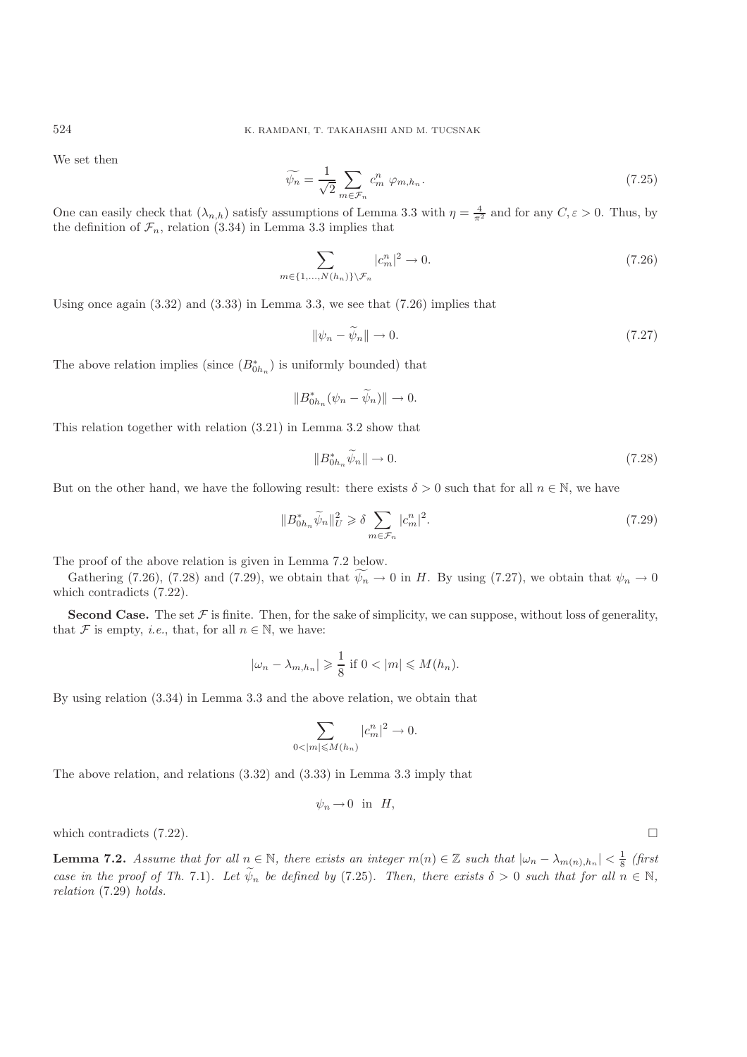We set then

$$
\widetilde{\psi_n} = \frac{1}{\sqrt{2}} \sum_{m \in \mathcal{F}_n} c_m^n \varphi_{m,h_n}.
$$
\n(7.25)

One can easily check that  $(\lambda_{n,h})$  satisfy assumptions of Lemma 3.3 with  $\eta = \frac{4}{\pi^2}$  and for any  $C, \varepsilon > 0$ . Thus, by the definition of  $\mathcal{F}_n$ , relation (3.34) in Lemma 3.3 implies that

$$
\sum_{m \in \{1, \ldots, N(h_n)\}\setminus \mathcal{F}_n} |c_m^n|^2 \to 0. \tag{7.26}
$$

Using once again  $(3.32)$  and  $(3.33)$  in Lemma 3.3, we see that  $(7.26)$  implies that

$$
\|\psi_n - \widetilde{\psi}_n\| \to 0. \tag{7.27}
$$

The above relation implies (since  $(B_{0h_n}^*)$ ) is uniformly bounded) that

$$
||B_{0h_n}^*(\psi_n - \widetilde{\psi}_n)|| \to 0.
$$

This relation together with relation (3.21) in Lemma 3.2 show that

$$
||B_{0h_n}^* \widetilde{\psi}_n|| \to 0. \tag{7.28}
$$

But on the other hand, we have the following result: there exists  $\delta > 0$  such that for all  $n \in \mathbb{N}$ , we have

$$
||B_{0h_n}^* \widetilde{\psi}_n||_U^2 \ge \delta \sum_{m \in \mathcal{F}_n} |c_m^n|^2. \tag{7.29}
$$

The proof of the above relation is given in Lemma 7.2 below.

Gathering (7.26), (7.28) and (7.29), we obtain that  $\psi_n \to 0$  in H. By using (7.27), we obtain that  $\psi_n \to 0$  is contradicts (7.22) which contradicts (7.22).

**Second Case.** The set  $\mathcal F$  is finite. Then, for the sake of simplicity, we can suppose, without loss of generality, that F is empty, *i.e.*, that, for all  $n \in \mathbb{N}$ , we have:

$$
|\omega_n - \lambda_{m,h_n}| \geqslant \frac{1}{8} \text{ if } 0 < |m| \leqslant M(h_n).
$$

By using relation (3.34) in Lemma 3.3 and the above relation, we obtain that

$$
\sum_{0<|m|\leqslant M(h_n)}|c_m^n|^2\to 0.
$$

The above relation, and relations (3.32) and (3.33) in Lemma 3.3 imply that

$$
\psi_n \to 0 \quad \text{in} \quad H,
$$

which contradicts  $(7.22)$ .

**Lemma 7.2.** *Assume that for all*  $n \in \mathbb{N}$ *, there exists an integer*  $m(n) \in \mathbb{Z}$  *such that*  $|\omega_n - \lambda_{m(n),h_n}| < \frac{1}{8}$  *(first*) *case in the proof of Th.* 7.1)*. Let*  $\widetilde{\psi}_n$  *be defined by* (7.25)*. Then, there exists*  $\delta > 0$  *such that for all*  $n \in \mathbb{N}$ *, relation* (7.29) *holds.*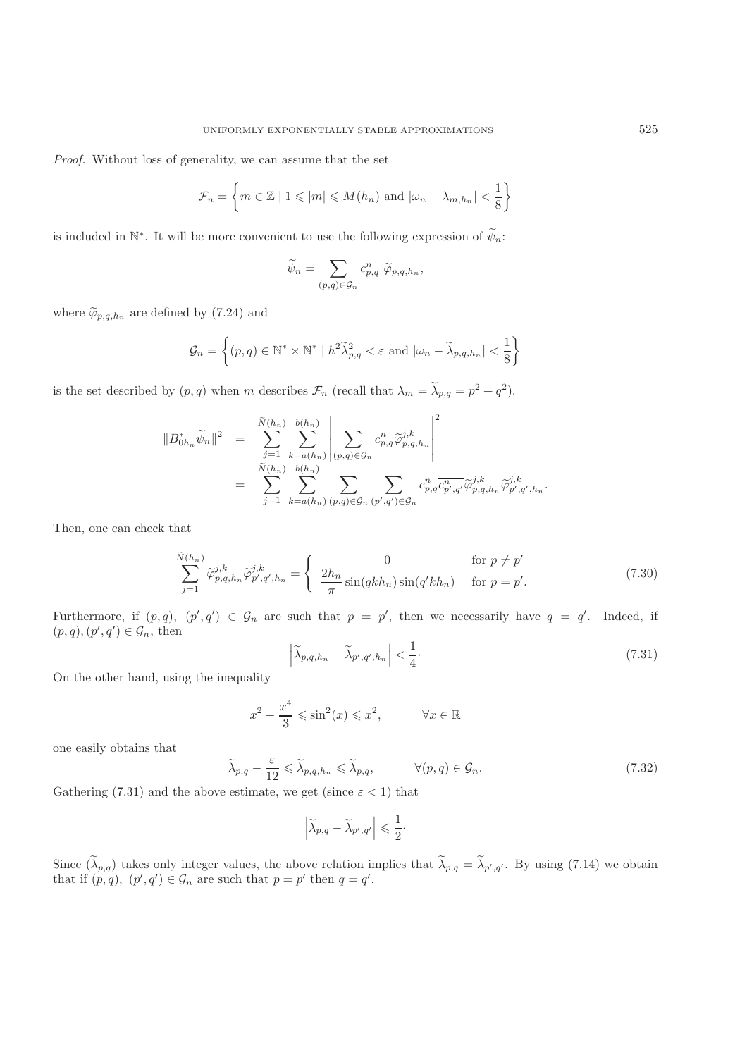*Proof.* Without loss of generality, we can assume that the set

$$
\mathcal{F}_n = \left\{ m \in \mathbb{Z} \mid 1 \leqslant |m| \leqslant M(h_n) \text{ and } |\omega_n - \lambda_{m,h_n}| < \frac{1}{8} \right\}
$$

is included in N<sup>∗</sup>. It will be more convenient to use the following expression of  $\widetilde{\psi}_n$ :

$$
\widetilde{\psi}_n = \sum_{(p,q)\in\mathcal{G}_n} c_{p,q}^n \ \widetilde{\varphi}_{p,q,h_n},
$$

where  $\widetilde{\varphi}_{p,q,h_n}$  are defined by (7.24) and

$$
\mathcal{G}_n = \left\{ (p, q) \in \mathbb{N}^* \times \mathbb{N}^* \mid h^2 \widetilde{\lambda}_{p,q}^2 < \varepsilon \text{ and } |\omega_n - \widetilde{\lambda}_{p,q,h_n}| < \frac{1}{8} \right\}
$$

is the set described by  $(p, q)$  when m describes  $\mathcal{F}_n$  (recall that  $\lambda_m = \tilde{\lambda}_{p,q} = p^2 + q^2$ ).

$$
||B_{0h_n}^* \widetilde{\psi}_n||^2 = \sum_{j=1}^{\widetilde{N}(h_n)} \sum_{k=a(h_n)}^{b(h_n)} \left| \sum_{(p,q) \in \mathcal{G}_n} c_{p,q}^n \widetilde{\varphi}_{p,q,h_n}^{j,k} \right|^2
$$
  

$$
= \sum_{j=1}^{\widetilde{N}(h_n)} \sum_{k=a(h_n)}^{b(h_n)} \sum_{(p,q) \in \mathcal{G}_n} \sum_{(p',q') \in \mathcal{G}_n} c_{p,q}^n \overline{c_{p',q'}^n} \widetilde{\varphi}_{p,q,h_n}^{j,k} \widetilde{\varphi}_{p',q',h_n}^{j,k}.
$$

Then, one can check that

$$
\sum_{j=1}^{\tilde{N}(h_n)} \tilde{\varphi}_{p,q,h_n}^{j,k} \tilde{\varphi}_{p',q',h_n}^{j,k} = \begin{cases} 0 & \text{for } p \neq p'\\ \frac{2h_n}{\pi} \sin(qkh_n) \sin(q'kh_n) & \text{for } p = p'. \end{cases}
$$
(7.30)

Furthermore, if  $(p, q)$ ,  $(p', q') \in \mathcal{G}_n$  are such that  $p = p'$ , then we necessarily have  $q = q'$ . Indeed, if  $(p, q)$   $(p', q') \in \mathcal{G}$  then  $(p, q), (p', q') \in \mathcal{G}_n$ , then

$$
\left|\widetilde{\lambda}_{p,q,h_n} - \widetilde{\lambda}_{p',q',h_n}\right| < \frac{1}{4}.\tag{7.31}
$$

On the other hand, using the inequality

$$
x^2 - \frac{x^4}{3} \le \sin^2(x) \le x^2, \qquad \forall x \in \mathbb{R}
$$

one easily obtains that

$$
\widetilde{\lambda}_{p,q} - \frac{\varepsilon}{12} \leq \widetilde{\lambda}_{p,q,h_n} \leq \widetilde{\lambda}_{p,q}, \qquad \forall (p,q) \in \mathcal{G}_n.
$$
\n(7.32)

Gathering (7.31) and the above estimate, we get (since  $\varepsilon < 1$ ) that

$$
\left|\widetilde{\lambda}_{p,q}-\widetilde{\lambda}_{p',q'}\right|\leqslant \frac{1}{2}\cdot
$$

Since  $(\lambda_{p,q})$  takes only integer values, the above relation implies that  $\lambda_{p,q} = \lambda_{p',q'}$ . By using (7.14) we obtain that if  $(n,q)$   $(n',q') \in G$  are such that  $n - n'$  then  $q - q'$ that if  $(p, q)$ ,  $(p', q') \in \mathcal{G}_n$  are such that  $p = p'$  then  $q = q'$ .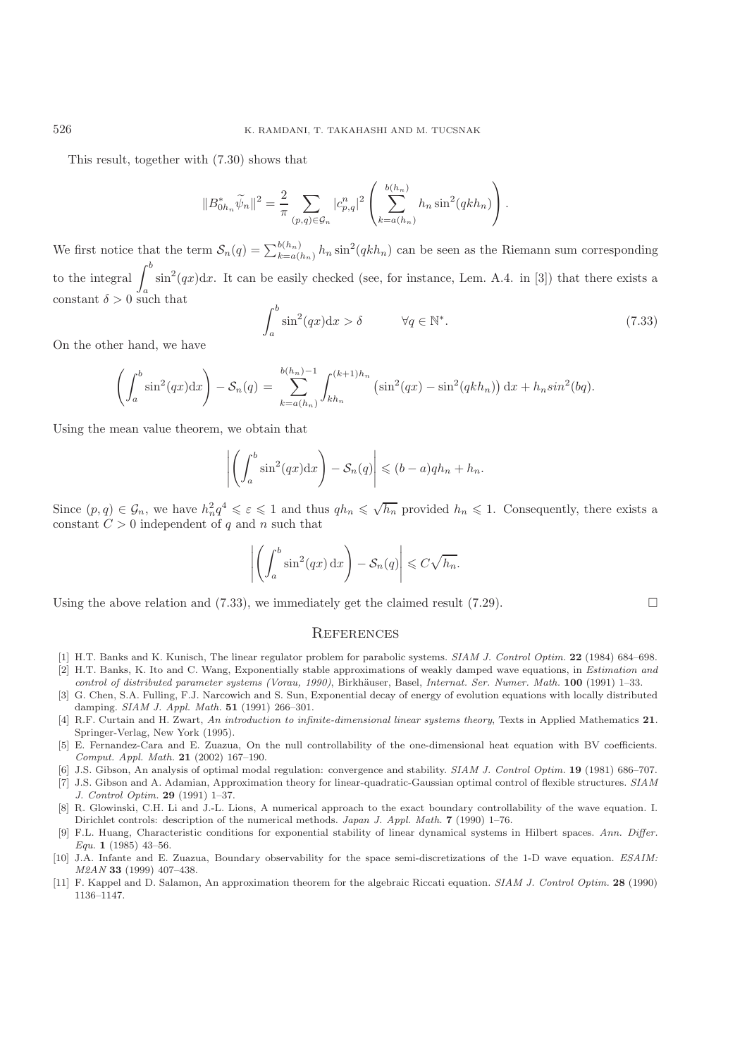This result, together with (7.30) shows that

$$
||B_{0h_n}^* \widetilde{\psi}_n||^2 = \frac{2}{\pi} \sum_{(p,q) \in \mathcal{G}_n} |c_{p,q}^n|^2 \left( \sum_{k=a(h_n)}^{b(h_n)} h_n \sin^2(qkh_n) \right).
$$

We first notice that the term  $S_n(q) = \sum_{k=a(h_n)}^{b(h_n)} h_n \sin^2(qkh_n)$  can be seen as the Riemann sum corresponding to the integral  $\int^b$  $\int \sin^2(qx)dx$ . It can be easily checked (see, for instance, Lem. A.4. in [3]) that there exists a constant  $\delta > 0$  such that

$$
\int_{a}^{b} \sin^{2}(qx)dx > \delta \qquad \forall q \in \mathbb{N}^{*}.
$$
 (7.33)

On the other hand, we have

$$
\left(\int_{a}^{b} \sin^{2}(qx)dx\right) - S_{n}(q) = \sum_{k=a(h_{n})}^{b(h_{n})-1} \int_{kh_{n}}^{(k+1)h_{n}} (\sin^{2}(qx) - \sin^{2}(qkh_{n})) dx + h_{n}sin^{2}(bq).
$$

Using the mean value theorem, we obtain that

$$
\left| \left( \int_a^b \sin^2(qx) dx \right) - \mathcal{S}_n(q) \right| \le (b-a) q h_n + h_n.
$$

Since  $(p, q) \in \mathcal{G}_n$ , we have  $h_n^2 q^4 \leqslant \varepsilon \leqslant 1$  and thus  $q h_n \leqslant \sqrt{h_n}$  provided  $h_n \leqslant 1$ . Consequently, there exists a constant  $C > 0$  independent of a and n such that constant  $C > 0$  independent of q and n such that

$$
\left| \left( \int_a^b \sin^2(qx) \, \mathrm{d}x \right) - \mathcal{S}_n(q) \right| \leqslant C \sqrt{h_n}.
$$

Using the above relation and (7.33), we immediately get the claimed result (7.29).  $\Box$ 

### **REFERENCES**

- [1] H.T. Banks and K. Kunisch, The linear regulator problem for parabolic systems. SIAM J. Control Optim. **22** (1984) 684–698.
- [2] H.T. Banks, K. Ito and C. Wang, Exponentially stable approximations of weakly damped wave equations, in Estimation and control of distributed parameter systems (Vorau, 1990), Birkhäuser, Basel, Internat. Ser. Numer. Math. 100 (1991) 1-33.
- [3] G. Chen, S.A. Fulling, F.J. Narcowich and S. Sun, Exponential decay of energy of evolution equations with locally distributed damping. SIAM J. Appl. Math. **51** (1991) 266–301.
- [4] R.F. Curtain and H. Zwart, An introduction to infinite-dimensional linear systems theory, Texts in Applied Mathematics **21**. Springer-Verlag, New York (1995).
- [5] E. Fernandez-Cara and E. Zuazua, On the null controllability of the one-dimensional heat equation with BV coefficients. Comput. Appl. Math. **21** (2002) 167–190.
- [6] J.S. Gibson, An analysis of optimal modal regulation: convergence and stability. SIAM J. Control Optim. **19** (1981) 686–707.
- [7] J.S. Gibson and A. Adamian, Approximation theory for linear-quadratic-Gaussian optimal control of flexible structures. SIAM J. Control Optim. **29** (1991) 1–37.
- [8] R. Glowinski, C.H. Li and J.-L. Lions, A numerical approach to the exact boundary controllability of the wave equation. I. Dirichlet controls: description of the numerical methods. Japan J. Appl. Math. **7** (1990) 1–76.
- [9] F.L. Huang, Characteristic conditions for exponential stability of linear dynamical systems in Hilbert spaces. Ann. Differ. Equ. **1** (1985) 43–56.
- [10] J.A. Infante and E. Zuazua, Boundary observability for the space semi-discretizations of the 1-D wave equation. ESAIM: M2AN **33** (1999) 407–438.
- [11] F. Kappel and D. Salamon, An approximation theorem for the algebraic Riccati equation. SIAM J. Control Optim. **28** (1990) 1136–1147.